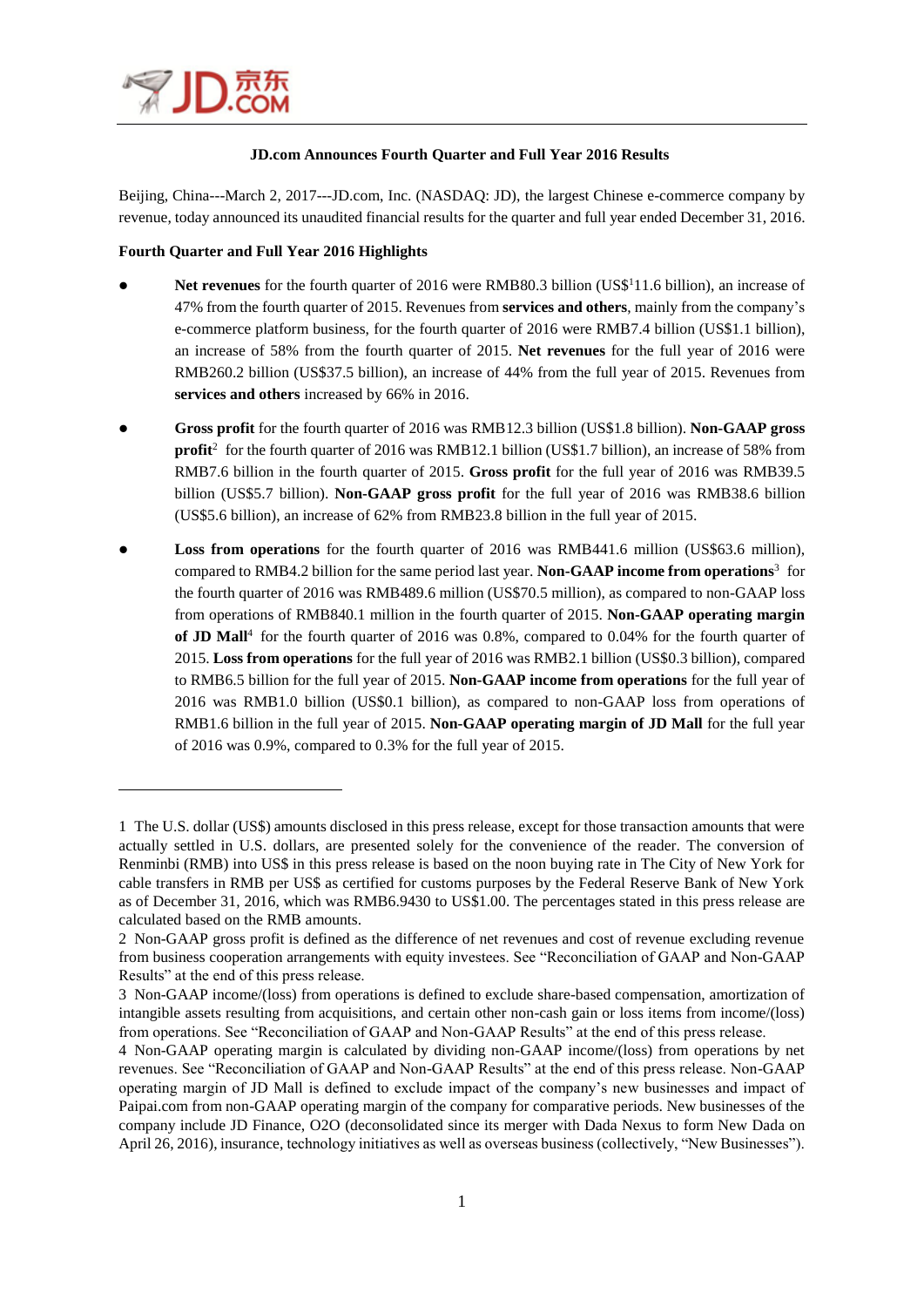

 $\overline{\phantom{a}}$ 

### **JD.com Announces Fourth Quarter and Full Year 2016 Results**

Beijing, China---March 2, 2017---JD.com, Inc. (NASDAQ: JD), the largest Chinese e-commerce company by revenue, today announced its unaudited financial results for the quarter and full year ended December 31, 2016.

### **Fourth Quarter and Full Year 2016 Highlights**

- Net revenues for the fourth quarter of 2016 were RMB80.3 billion (US\$<sup>1</sup>11.6 billion), an increase of 47% from the fourth quarter of 2015. Revenues from **services and others**, mainly from the company's e-commerce platform business, for the fourth quarter of 2016 were RMB7.4 billion (US\$1.1 billion), an increase of 58% from the fourth quarter of 2015. **Net revenues** for the full year of 2016 were RMB260.2 billion (US\$37.5 billion), an increase of 44% from the full year of 2015. Revenues from **services and others** increased by 66% in 2016.
- **Gross profit** for the fourth quarter of 2016 was RMB12.3 billion (US\$1.8 billion). **Non-GAAP gross profit**<sup>2</sup> for the fourth quarter of 2016 was RMB12.1 billion (US\$1.7 billion), an increase of 58% from RMB7.6 billion in the fourth quarter of 2015. **Gross profit** for the full year of 2016 was RMB39.5 billion (US\$5.7 billion). **Non-GAAP gross profit** for the full year of 2016 was RMB38.6 billion (US\$5.6 billion), an increase of 62% from RMB23.8 billion in the full year of 2015.
- **Loss from operations** for the fourth quarter of 2016 was RMB441.6 million (US\$63.6 million), compared to RMB4.2 billion for the same period last year. **Non-GAAP income from operations**<sup>3</sup> for the fourth quarter of 2016 was RMB489.6 million (US\$70.5 million), as compared to non-GAAP loss from operations of RMB840.1 million in the fourth quarter of 2015. **Non-GAAP operating margin**  of JD Mall<sup>4</sup> for the fourth quarter of 2016 was 0.8%, compared to 0.04% for the fourth quarter of 2015. **Loss from operations** for the full year of 2016 was RMB2.1 billion (US\$0.3 billion), compared to RMB6.5 billion for the full year of 2015. **Non-GAAP income from operations** for the full year of 2016 was RMB1.0 billion (US\$0.1 billion), as compared to non-GAAP loss from operations of RMB1.6 billion in the full year of 2015. **Non-GAAP operating margin of JD Mall** for the full year of 2016 was 0.9%, compared to 0.3% for the full year of 2015.

<sup>1</sup> The U.S. dollar (US\$) amounts disclosed in this press release, except for those transaction amounts that were actually settled in U.S. dollars, are presented solely for the convenience of the reader. The conversion of Renminbi (RMB) into US\$ in this press release is based on the noon buying rate in The City of New York for cable transfers in RMB per US\$ as certified for customs purposes by the Federal Reserve Bank of New York as of December 31, 2016, which was RMB6.9430 to US\$1.00. The percentages stated in this press release are calculated based on the RMB amounts.

<sup>2</sup> Non-GAAP gross profit is defined as the difference of net revenues and cost of revenue excluding revenue from business cooperation arrangements with equity investees. See "Reconciliation of GAAP and Non-GAAP Results" at the end of this press release.

<sup>3</sup> Non-GAAP income/(loss) from operations is defined to exclude share-based compensation, amortization of intangible assets resulting from acquisitions, and certain other non-cash gain or loss items from income/(loss) from operations. See "Reconciliation of GAAP and Non-GAAP Results" at the end of this press release.

<sup>4</sup> Non-GAAP operating margin is calculated by dividing non-GAAP income/(loss) from operations by net revenues. See "Reconciliation of GAAP and Non-GAAP Results" at the end of this press release. Non-GAAP operating margin of JD Mall is defined to exclude impact of the company's new businesses and impact of Paipai.com from non-GAAP operating margin of the company for comparative periods. New businesses of the company include JD Finance, O2O (deconsolidated since its merger with Dada Nexus to form New Dada on April 26, 2016), insurance, technology initiatives as well as overseas business (collectively, "New Businesses").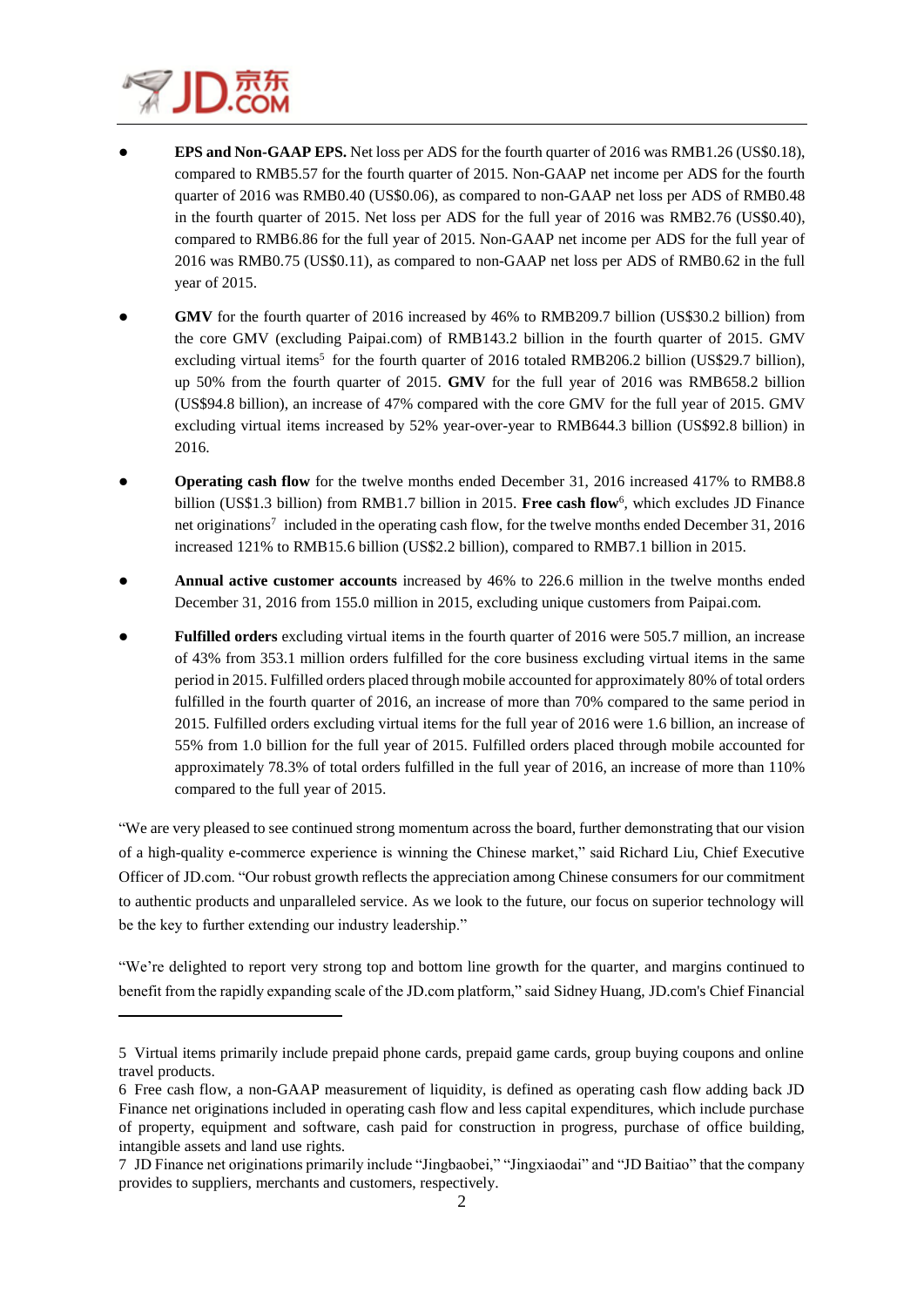

 $\overline{\phantom{a}}$ 

- **EPS and Non-GAAP EPS.** Net loss per ADS for the fourth quarter of 2016 was RMB1.26 (US\$0.18), compared to RMB5.57 for the fourth quarter of 2015. Non-GAAP net income per ADS for the fourth quarter of 2016 was RMB0.40 (US\$0.06), as compared to non-GAAP net loss per ADS of RMB0.48 in the fourth quarter of 2015. Net loss per ADS for the full year of 2016 was RMB2.76 (US\$0.40), compared to RMB6.86 for the full year of 2015. Non-GAAP net income per ADS for the full year of 2016 was RMB0.75 (US\$0.11), as compared to non-GAAP net loss per ADS of RMB0.62 in the full year of 2015.
- **GMV** for the fourth quarter of 2016 increased by 46% to RMB209.7 billion (US\$30.2 billion) from the core GMV (excluding Paipai.com) of RMB143.2 billion in the fourth quarter of 2015. GMV excluding virtual items<sup>5</sup> for the fourth quarter of 2016 totaled RMB206.2 billion (US\$29.7 billion), up 50% from the fourth quarter of 2015. **GMV** for the full year of 2016 was RMB658.2 billion (US\$94.8 billion), an increase of 47% compared with the core GMV for the full year of 2015. GMV excluding virtual items increased by 52% year-over-year to RMB644.3 billion (US\$92.8 billion) in 2016.
- **Operating cash flow** for the twelve months ended December 31, 2016 increased 417% to RMB8.8 billion (US\$1.3 billion) from RMB1.7 billion in 2015. Free cash flow<sup>6</sup>, which excludes JD Finance net originations<sup>7</sup> included in the operating cash flow, for the twelve months ended December 31, 2016 increased 121% to RMB15.6 billion (US\$2.2 billion), compared to RMB7.1 billion in 2015.
- **Annual active customer accounts** increased by 46% to 226.6 million in the twelve months ended December 31, 2016 from 155.0 million in 2015, excluding unique customers from Paipai.com.
- **Fulfilled orders** excluding virtual items in the fourth quarter of 2016 were 505.7 million, an increase of 43% from 353.1 million orders fulfilled for the core business excluding virtual items in the same period in 2015. Fulfilled orders placed through mobile accounted for approximately 80% of total orders fulfilled in the fourth quarter of 2016, an increase of more than 70% compared to the same period in 2015. Fulfilled orders excluding virtual items for the full year of 2016 were 1.6 billion, an increase of 55% from 1.0 billion for the full year of 2015. Fulfilled orders placed through mobile accounted for approximately 78.3% of total orders fulfilled in the full year of 2016, an increase of more than 110% compared to the full year of 2015.

"We are very pleased to see continued strong momentum across the board, further demonstrating that our vision of a high-quality e-commerce experience is winning the Chinese market," said Richard Liu, Chief Executive Officer of JD.com. "Our robust growth reflects the appreciation among Chinese consumers for our commitment to authentic products and unparalleled service. As we look to the future, our focus on superior technology will be the key to further extending our industry leadership."

"We're delighted to report very strong top and bottom line growth for the quarter, and margins continued to benefit from the rapidly expanding scale of the JD.com platform," said Sidney Huang, JD.com's Chief Financial

<sup>5</sup> Virtual items primarily include prepaid phone cards, prepaid game cards, group buying coupons and online travel products.

<sup>6</sup> Free cash flow, a non-GAAP measurement of liquidity, is defined as operating cash flow adding back JD Finance net originations included in operating cash flow and less capital expenditures, which include purchase of property, equipment and software, cash paid for construction in progress, purchase of office building, intangible assets and land use rights.

<sup>7</sup> JD Finance net originations primarily include "Jingbaobei," "Jingxiaodai" and "JD Baitiao" that the company provides to suppliers, merchants and customers, respectively.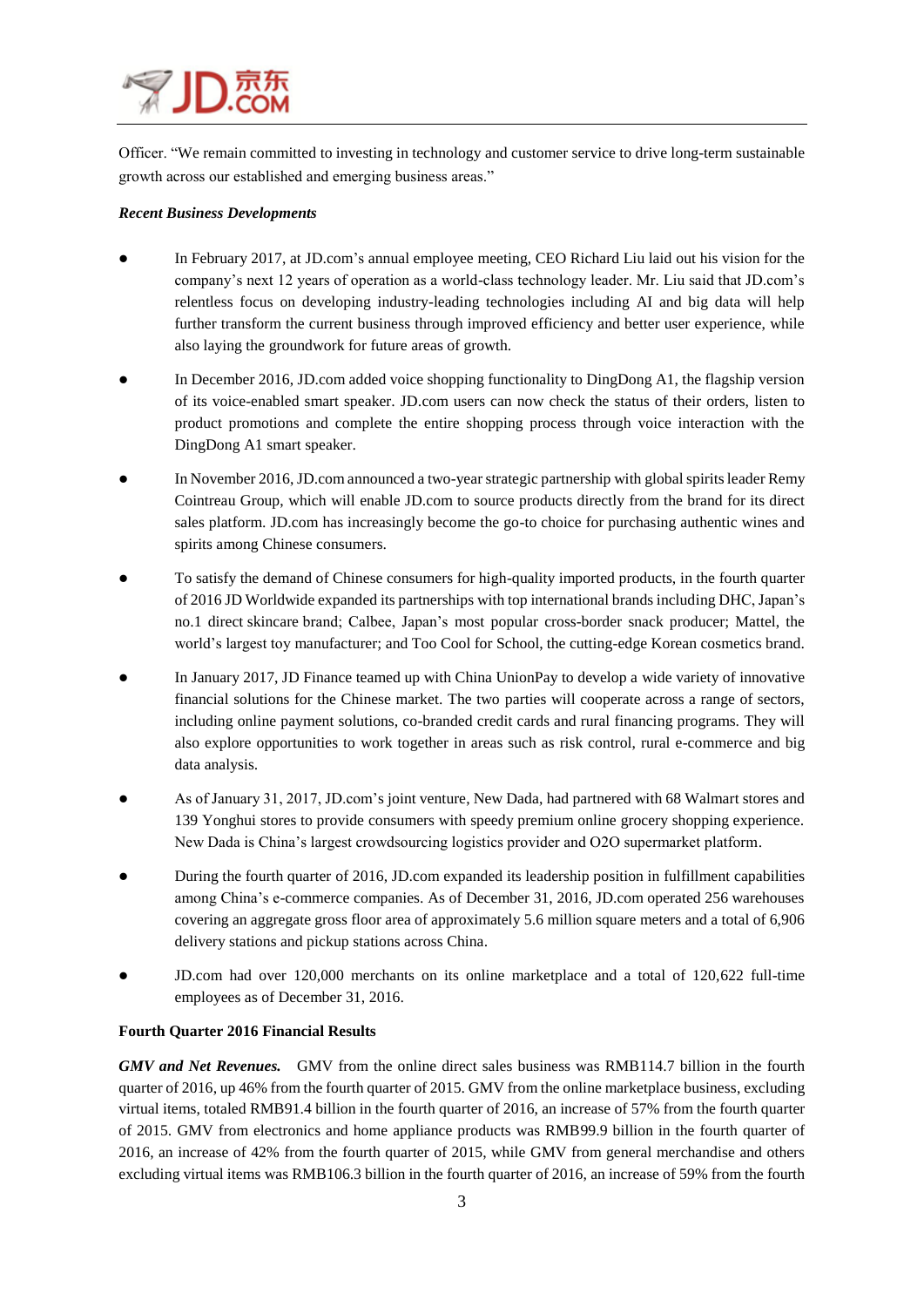Officer. "We remain committed to investing in technology and customer service to drive long-term sustainable growth across our established and emerging business areas."

### *Recent Business Developments*

- In February 2017, at [JD.com'](http://jd.com/)s annual employee meeting, CEO Richard Liu laid out his vision for the company's next 12 years of operation as a world-class technology leader. Mr. Liu said that JD.com's relentless focus on developing industry-leading technologies including AI and big data will help further transform the current business through improved efficiency and better user experience, while also laying the groundwork for future areas of growth.
- In December 2016, JD.com added voice shopping functionality to DingDong A1, the flagship version of its voice-enabled smart speaker. JD.com users can now check the status of their orders, listen to product promotions and complete the entire shopping process through voice interaction with the DingDong A1 smart speaker.
- In November 2016, JD.com announced a two-year strategic partnership with global spirits leader Remy Cointreau Group, which will enable JD.com to source products directly from the brand for its direct sales platform. JD.com has increasingly become the go-to choice for purchasing authentic wines and spirits among Chinese consumers.
- To satisfy the demand of Chinese consumers for high-quality imported products, in the fourth quarter of 2016 JD Worldwide expanded its partnerships with top international brands including DHC, Japan's no.1 direct skincare brand; Calbee, Japan's most popular cross-border snack producer; Mattel, the world's largest toy manufacturer; and Too Cool for School, the cutting-edge Korean cosmetics brand.
- In January 2017, JD Finance teamed up with China UnionPay to develop a wide variety of innovative financial solutions for the Chinese market. The two parties will cooperate across a range of sectors, including online payment solutions, co-branded credit cards and rural financing programs. They will also explore opportunities to work together in areas such as risk control, rural e-commerce and big data analysis.
- As of January 31, 2017, JD.com's joint venture, New Dada, had partnered with 68 Walmart stores and 139 Yonghui stores to provide consumers with speedy premium online grocery shopping experience. New Dada is China's largest crowdsourcing logistics provider and O2O supermarket platform.
- During the fourth quarter of 2016, JD.com expanded its leadership position in fulfillment capabilities among China's e-commerce companies. As of December 31, 2016, JD.com operated 256 warehouses covering an aggregate gross floor area of approximately 5.6 million square meters and a total of 6,906 delivery stations and pickup stations across China.
- JD.com had over 120,000 merchants on its online marketplace and a total of 120,622 full-time employees as of December 31, 2016.

### **Fourth Quarter 2016 Financial Results**

*GMV and Net Revenues.* GMV from the online direct sales business was RMB114.7 billion in the fourth quarter of 2016, up 46% from the fourth quarter of 2015. GMV from the online marketplace business, excluding virtual items, totaled RMB91.4 billion in the fourth quarter of 2016, an increase of 57% from the fourth quarter of 2015. GMV from electronics and home appliance products was RMB99.9 billion in the fourth quarter of 2016, an increase of 42% from the fourth quarter of 2015, while GMV from general merchandise and others excluding virtual items was RMB106.3 billion in the fourth quarter of 2016, an increase of 59% from the fourth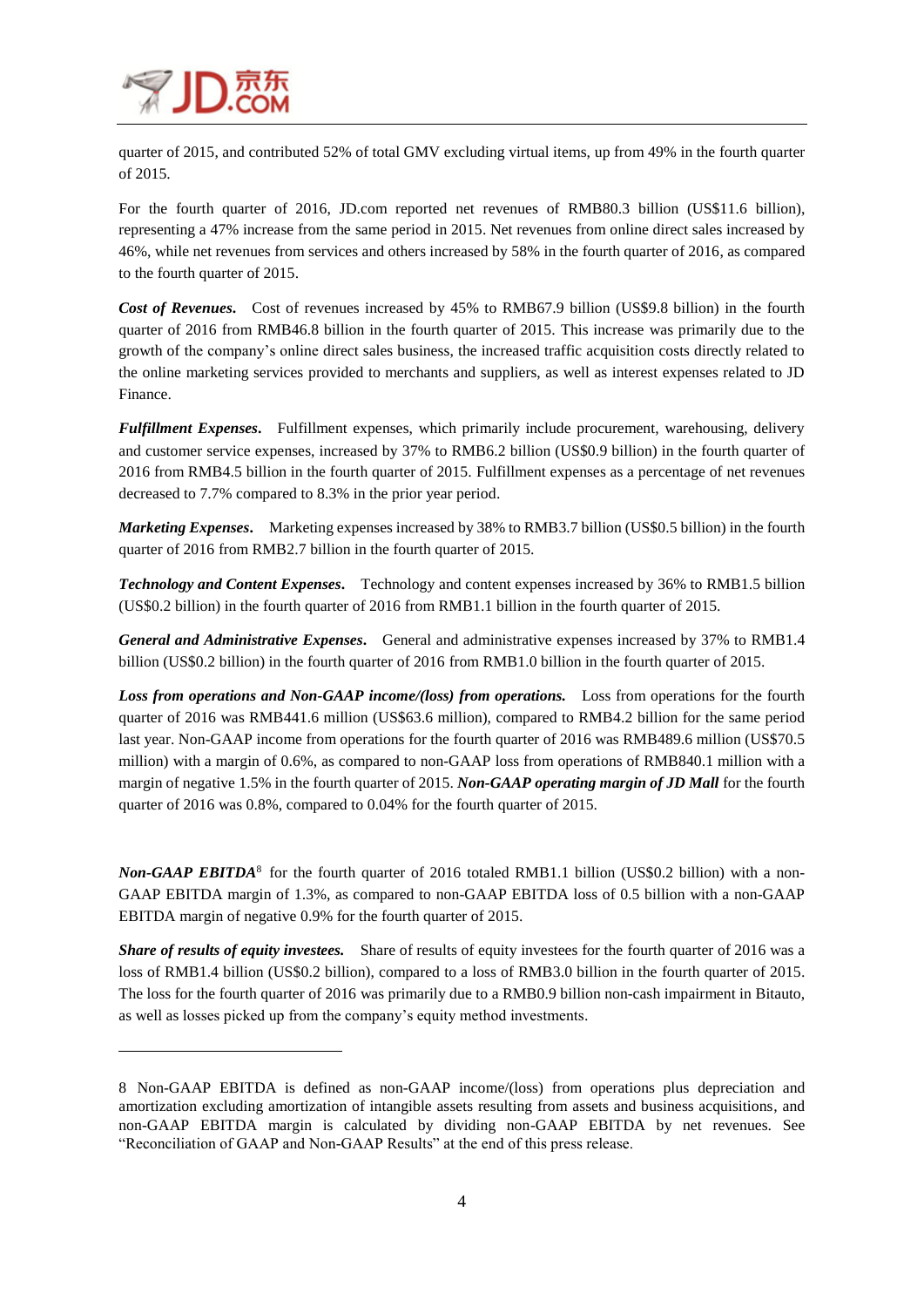

 $\overline{\phantom{a}}$ 

quarter of 2015, and contributed 52% of total GMV excluding virtual items, up from 49% in the fourth quarter of 2015.

For the fourth quarter of 2016, JD.com reported net revenues of RMB80.3 billion (US\$11.6 billion), representing a 47% increase from the same period in 2015. Net revenues from online direct sales increased by 46%, while net revenues from services and others increased by 58% in the fourth quarter of 2016, as compared to the fourth quarter of 2015.

*Cost of Revenues.* Cost of revenues increased by 45% to RMB67.9 billion (US\$9.8 billion) in the fourth quarter of 2016 from RMB46.8 billion in the fourth quarter of 2015. This increase was primarily due to the growth of the company's online direct sales business, the increased traffic acquisition costs directly related to the online marketing services provided to merchants and suppliers, as well as interest expenses related to JD Finance.

*Fulfillment Expenses***.** Fulfillment expenses, which primarily include procurement, warehousing, delivery and customer service expenses, increased by 37% to RMB6.2 billion (US\$0.9 billion) in the fourth quarter of 2016 from RMB4.5 billion in the fourth quarter of 2015. Fulfillment expenses as a percentage of net revenues decreased to 7.7% compared to 8.3% in the prior year period.

*Marketing Expenses***.** Marketing expenses increased by 38% to RMB3.7 billion (US\$0.5 billion) in the fourth quarter of 2016 from RMB2.7 billion in the fourth quarter of 2015.

*Technology and Content Expenses***.** Technology and content expenses increased by 36% to RMB1.5 billion (US\$0.2 billion) in the fourth quarter of 2016 from RMB1.1 billion in the fourth quarter of 2015.

*General and Administrative Expenses***.** General and administrative expenses increased by 37% to RMB1.4 billion (US\$0.2 billion) in the fourth quarter of 2016 from RMB1.0 billion in the fourth quarter of 2015.

*Loss from operations and Non-GAAP income/(loss) from operations.* Loss from operations for the fourth quarter of 2016 was RMB441.6 million (US\$63.6 million), compared to RMB4.2 billion for the same period last year. Non-GAAP income from operations for the fourth quarter of 2016 was RMB489.6 million (US\$70.5 million) with a margin of 0.6%, as compared to non-GAAP loss from operations of RMB840.1 million with a margin of negative 1.5% in the fourth quarter of 2015. *Non-GAAP operating margin of JD Mall* for the fourth quarter of 2016 was 0.8%, compared to 0.04% for the fourth quarter of 2015.

Non-GAAP EBITDA<sup>8</sup> for the fourth quarter of 2016 totaled RMB1.1 billion (US\$0.2 billion) with a non-GAAP EBITDA margin of 1.3%, as compared to non-GAAP EBITDA loss of 0.5 billion with a non-GAAP EBITDA margin of negative 0.9% for the fourth quarter of 2015.

*Share of results of equity investees.* Share of results of equity investees for the fourth quarter of 2016 was a loss of RMB1.4 billion (US\$0.2 billion), compared to a loss of RMB3.0 billion in the fourth quarter of 2015. The loss for the fourth quarter of 2016 was primarily due to a RMB0.9 billion non-cash impairment in Bitauto, as well as losses picked up from the company's equity method investments.

<sup>8</sup> Non-GAAP EBITDA is defined as non-GAAP income/(loss) from operations plus depreciation and amortization excluding amortization of intangible assets resulting from assets and business acquisitions, and non-GAAP EBITDA margin is calculated by dividing non-GAAP EBITDA by net revenues. See "Reconciliation of GAAP and Non-GAAP Results" at the end of this press release.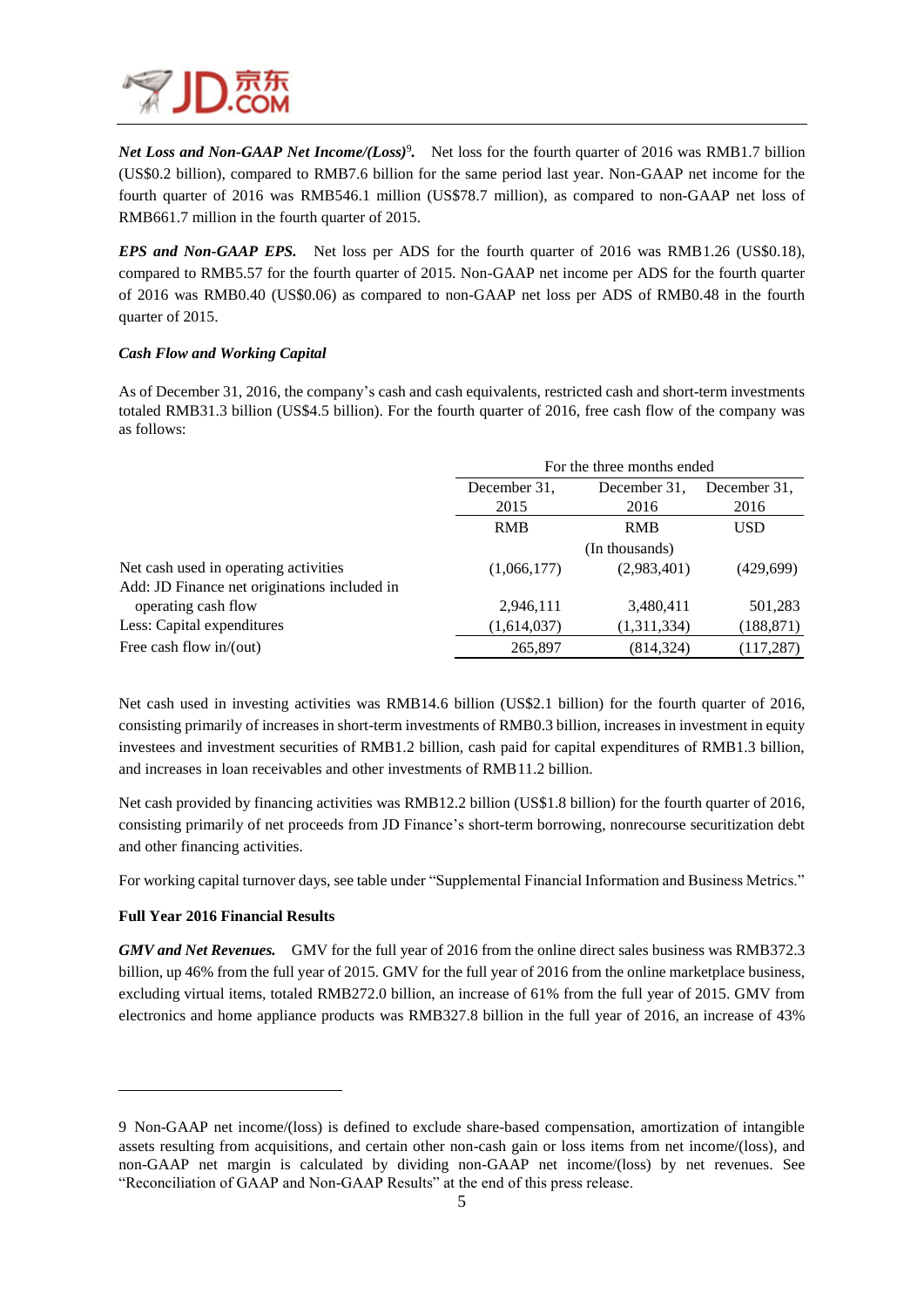

Net Loss and Non-GAAP Net Income/(Loss)<sup>9</sup>. Net loss for the fourth quarter of 2016 was RMB1.7 billion (US\$0.2 billion), compared to RMB7.6 billion for the same period last year. Non-GAAP net income for the fourth quarter of 2016 was RMB546.1 million (US\$78.7 million), as compared to non-GAAP net loss of RMB661.7 million in the fourth quarter of 2015.

*EPS and Non-GAAP EPS.*Net loss per ADS for the fourth quarter of 2016 was RMB1.26 (US\$0.18), compared to RMB5.57 for the fourth quarter of 2015. Non-GAAP net income per ADS for the fourth quarter of 2016 was RMB0.40 (US\$0.06) as compared to non-GAAP net loss per ADS of RMB0.48 in the fourth quarter of 2015.

### *Cash Flow and Working Capital*

As of December 31, 2016, the company's cash and cash equivalents, restricted cash and short-term investments totaled RMB31.3 billion (US\$4.5 billion). For the fourth quarter of 2016, free cash flow of the company was as follows:

|                                              |                | For the three months ended |            |  |  |  |  |
|----------------------------------------------|----------------|----------------------------|------------|--|--|--|--|
|                                              | December 31.   | December 31.               |            |  |  |  |  |
|                                              | 2015           | 2016                       | 2016       |  |  |  |  |
|                                              | <b>RMB</b>     | <b>USD</b>                 |            |  |  |  |  |
|                                              | (In thousands) |                            |            |  |  |  |  |
| Net cash used in operating activities        | (1,066,177)    | (2,983,401)                | (429,699)  |  |  |  |  |
| Add: JD Finance net originations included in |                |                            |            |  |  |  |  |
| operating cash flow                          | 2,946,111      | 3,480,411                  | 501,283    |  |  |  |  |
| Less: Capital expenditures                   | (1,614,037)    | (1,311,334)                | (188, 871) |  |  |  |  |
| Free cash flow $in/$ (out)                   | 265,897        | (814, 324)                 | (117, 287) |  |  |  |  |

Net cash used in investing activities was RMB14.6 billion (US\$2.1 billion) for the fourth quarter of 2016, consisting primarily of increases in short-term investments of RMB0.3 billion, increases in investment in equity investees and investment securities of RMB1.2 billion, cash paid for capital expenditures of RMB1.3 billion, and increases in loan receivables and other investments of RMB11.2 billion.

Net cash provided by financing activities was RMB12.2 billion (US\$1.8 billion) for the fourth quarter of 2016, consisting primarily of net proceeds from JD Finance's short-term borrowing, nonrecourse securitization debt and other financing activities.

For working capital turnover days, see table under "Supplemental Financial Information and Business Metrics."

### **Full Year 2016 Financial Results**

 $\overline{\phantom{a}}$ 

*GMV and Net Revenues.* GMV for the full year of 2016 from the online direct sales business was RMB372.3 billion, up 46% from the full year of 2015. GMV for the full year of 2016 from the online marketplace business, excluding virtual items, totaled RMB272.0 billion, an increase of 61% from the full year of 2015. GMV from electronics and home appliance products was RMB327.8 billion in the full year of 2016, an increase of 43%

<sup>9</sup> Non-GAAP net income/(loss) is defined to exclude share-based compensation, amortization of intangible assets resulting from acquisitions, and certain other non-cash gain or loss items from net income/(loss), and non-GAAP net margin is calculated by dividing non-GAAP net income/(loss) by net revenues. See "Reconciliation of GAAP and Non-GAAP Results" at the end of this press release.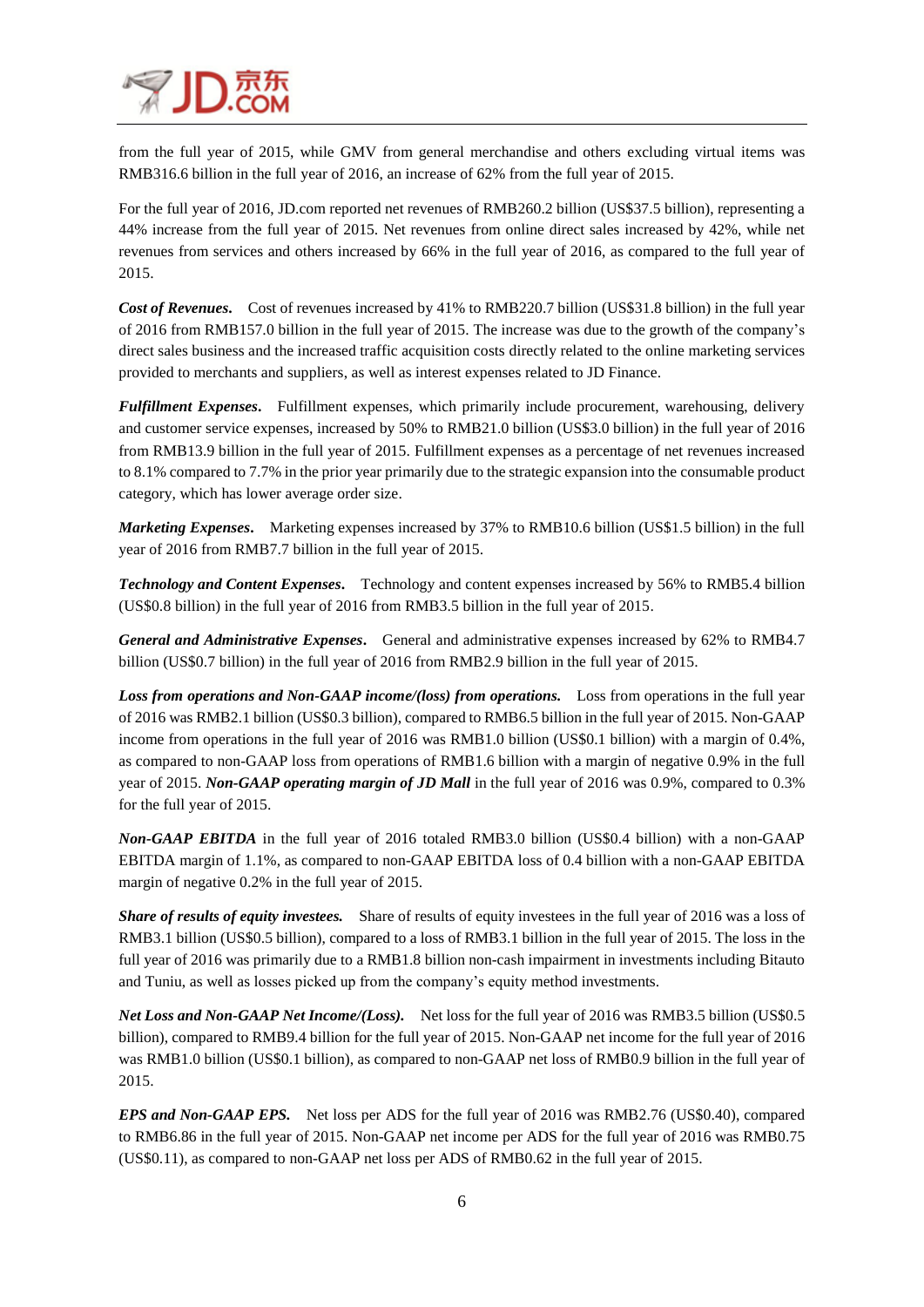

from the full year of 2015, while GMV from general merchandise and others excluding virtual items was RMB316.6 billion in the full year of 2016, an increase of 62% from the full year of 2015.

For the full year of 2016, JD.com reported net revenues of RMB260.2 billion (US\$37.5 billion), representing a 44% increase from the full year of 2015. Net revenues from online direct sales increased by 42%, while net revenues from services and others increased by 66% in the full year of 2016, as compared to the full year of 2015.

*Cost of Revenues***.** Cost of revenues increased by 41% to RMB220.7 billion (US\$31.8 billion) in the full year of 2016 from RMB157.0 billion in the full year of 2015. The increase was due to the growth of the company's direct sales business and the increased traffic acquisition costs directly related to the online marketing services provided to merchants and suppliers, as well as interest expenses related to JD Finance.

*Fulfillment Expenses***.** Fulfillment expenses, which primarily include procurement, warehousing, delivery and customer service expenses, increased by 50% to RMB21.0 billion (US\$3.0 billion) in the full year of 2016 from RMB13.9 billion in the full year of 2015. Fulfillment expenses as a percentage of net revenues increased to 8.1% compared to 7.7% in the prior year primarily due to the strategic expansion into the consumable product category, which has lower average order size.

*Marketing Expenses***.** Marketing expenses increased by 37% to RMB10.6 billion (US\$1.5 billion) in the full year of 2016 from RMB7.7 billion in the full year of 2015.

*Technology and Content Expenses***.** Technology and content expenses increased by 56% to RMB5.4 billion (US\$0.8 billion) in the full year of 2016 from RMB3.5 billion in the full year of 2015.

*General and Administrative Expenses***.** General and administrative expenses increased by 62% to RMB4.7 billion (US\$0.7 billion) in the full year of 2016 from RMB2.9 billion in the full year of 2015.

*Loss from operations and Non-GAAP income/(loss) from operations.* Loss from operations in the full year of 2016 was RMB2.1 billion (US\$0.3 billion), compared to RMB6.5 billion in the full year of 2015. Non-GAAP income from operations in the full year of 2016 was RMB1.0 billion (US\$0.1 billion) with a margin of 0.4%, as compared to non-GAAP loss from operations of RMB1.6 billion with a margin of negative 0.9% in the full year of 2015. *Non-GAAP operating margin of JD Mall* in the full year of 2016 was 0.9%, compared to 0.3% for the full year of 2015.

*Non-GAAP EBITDA* in the full year of 2016 totaled RMB3.0 billion (US\$0.4 billion) with a non-GAAP EBITDA margin of 1.1%, as compared to non-GAAP EBITDA loss of 0.4 billion with a non-GAAP EBITDA margin of negative 0.2% in the full year of 2015.

*Share of results of equity investees.* Share of results of equity investees in the full year of 2016 was a loss of RMB3.1 billion (US\$0.5 billion), compared to a loss of RMB3.1 billion in the full year of 2015. The loss in the full year of 2016 was primarily due to a RMB1.8 billion non-cash impairment in investments including Bitauto and Tuniu, as well as losses picked up from the company's equity method investments.

*Net Loss and Non-GAAP Net Income/(Loss).* Net loss for the full year of 2016 was RMB3.5 billion (US\$0.5 billion), compared to RMB9.4 billion for the full year of 2015. Non-GAAP net income for the full year of 2016 was RMB1.0 billion (US\$0.1 billion), as compared to non-GAAP net loss of RMB0.9 billion in the full year of 2015.

*EPS and Non-GAAP EPS.* Net loss per ADS for the full year of 2016 was RMB2.76 (US\$0.40), compared to RMB6.86 in the full year of 2015. Non-GAAP net income per ADS for the full year of 2016 was RMB0.75 (US\$0.11), as compared to non-GAAP net loss per ADS of RMB0.62 in the full year of 2015.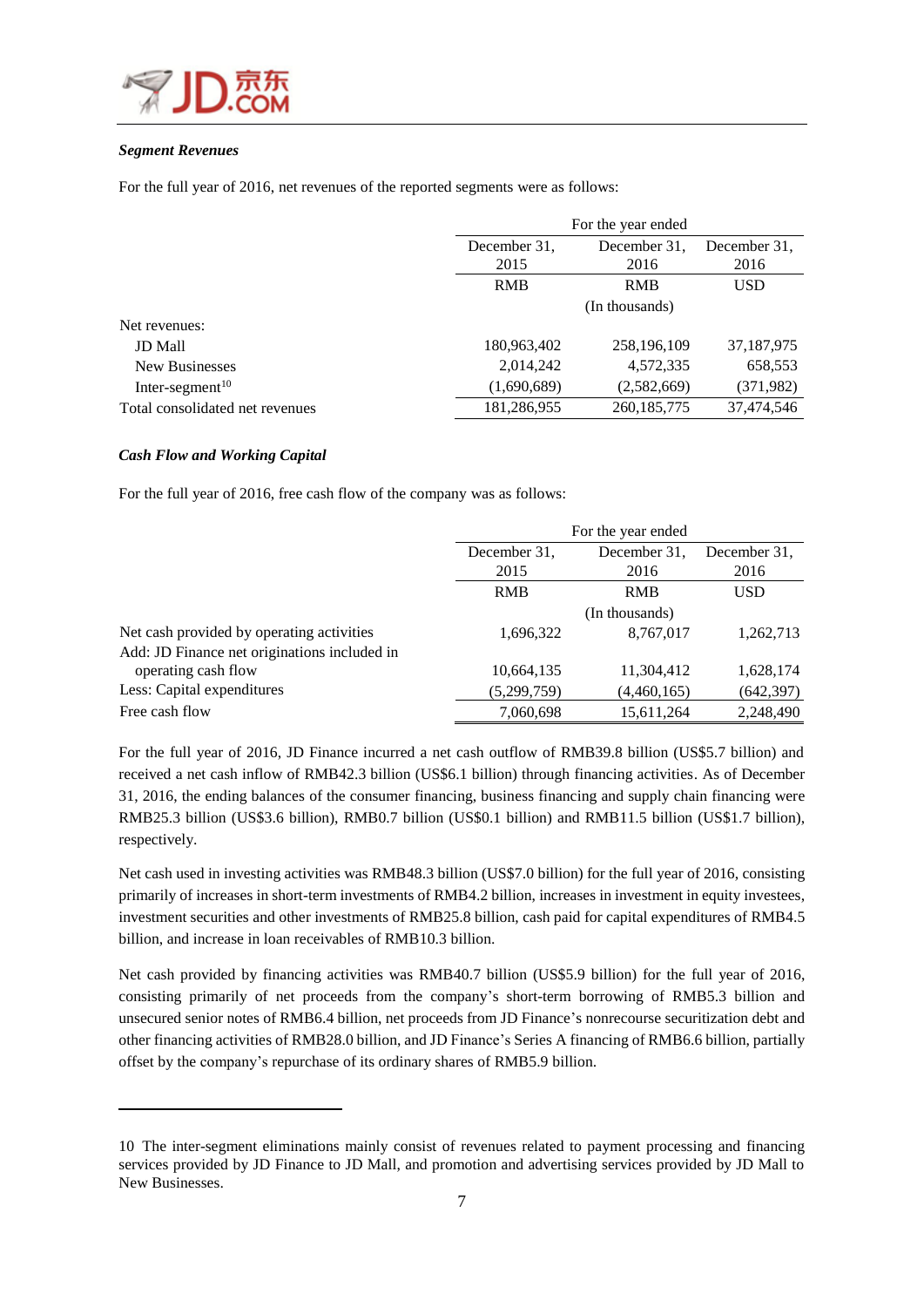

### *Segment Revenues*

For the full year of 2016, net revenues of the reported segments were as follows:

|                                 | For the year ended |               |              |  |  |  |
|---------------------------------|--------------------|---------------|--------------|--|--|--|
|                                 | December 31.       | December 31.  |              |  |  |  |
|                                 | 2015               | 2016          | 2016         |  |  |  |
|                                 | <b>RMB</b>         | <b>RMB</b>    | <b>USD</b>   |  |  |  |
|                                 |                    |               |              |  |  |  |
| Net revenues:                   |                    |               |              |  |  |  |
| <b>JD</b> Mall                  | 180,963,402        | 258,196,109   | 37, 187, 975 |  |  |  |
| New Businesses                  | 2,014,242          | 4,572,335     | 658,553      |  |  |  |
| Inter-segment $10$              | (1,690,689)        | (2,582,669)   | (371,982)    |  |  |  |
| Total consolidated net revenues | 181,286,955        | 260, 185, 775 | 37,474,546   |  |  |  |

### *Cash Flow and Working Capital*

 $\overline{\phantom{a}}$ 

For the full year of 2016, free cash flow of the company was as follows:

|                                              | For the year ended |                |            |  |  |  |
|----------------------------------------------|--------------------|----------------|------------|--|--|--|
|                                              | December 31.       | December 31.   |            |  |  |  |
|                                              | 2015               | 2016           | 2016       |  |  |  |
|                                              | <b>RMB</b>         | <b>RMB</b>     | <b>USD</b> |  |  |  |
|                                              |                    | (In thousands) |            |  |  |  |
| Net cash provided by operating activities    | 1,696,322          | 8,767,017      | 1,262,713  |  |  |  |
| Add: JD Finance net originations included in |                    |                |            |  |  |  |
| operating cash flow                          | 10,664,135         | 11,304,412     | 1,628,174  |  |  |  |
| Less: Capital expenditures                   | (5,299,759)        | (4,460,165)    | (642, 397) |  |  |  |
| Free cash flow                               | 7,060,698          | 15,611,264     | 2,248,490  |  |  |  |

For the full year of 2016, JD Finance incurred a net cash outflow of RMB39.8 billion (US\$5.7 billion) and received a net cash inflow of RMB42.3 billion (US\$6.1 billion) through financing activities. As of December 31, 2016, the ending balances of the consumer financing, business financing and supply chain financing were RMB25.3 billion (US\$3.6 billion), RMB0.7 billion (US\$0.1 billion) and RMB11.5 billion (US\$1.7 billion), respectively.

Net cash used in investing activities was RMB48.3 billion (US\$7.0 billion) for the full year of 2016, consisting primarily of increases in short-term investments of RMB4.2 billion, increases in investment in equity investees, investment securities and other investments of RMB25.8 billion, cash paid for capital expenditures of RMB4.5 billion, and increase in loan receivables of RMB10.3 billion.

Net cash provided by financing activities was RMB40.7 billion (US\$5.9 billion) for the full year of 2016, consisting primarily of net proceeds from the company's short-term borrowing of RMB5.3 billion and unsecured senior notes of RMB6.4 billion, net proceeds from JD Finance's nonrecourse securitization debt and other financing activities of RMB28.0 billion, and JD Finance's Series A financing of RMB6.6 billion, partially offset by the company's repurchase of its ordinary shares of RMB5.9 billion.

<sup>10</sup> The inter-segment eliminations mainly consist of revenues related to payment processing and financing services provided by JD Finance to JD Mall, and promotion and advertising services provided by JD Mall to New Businesses.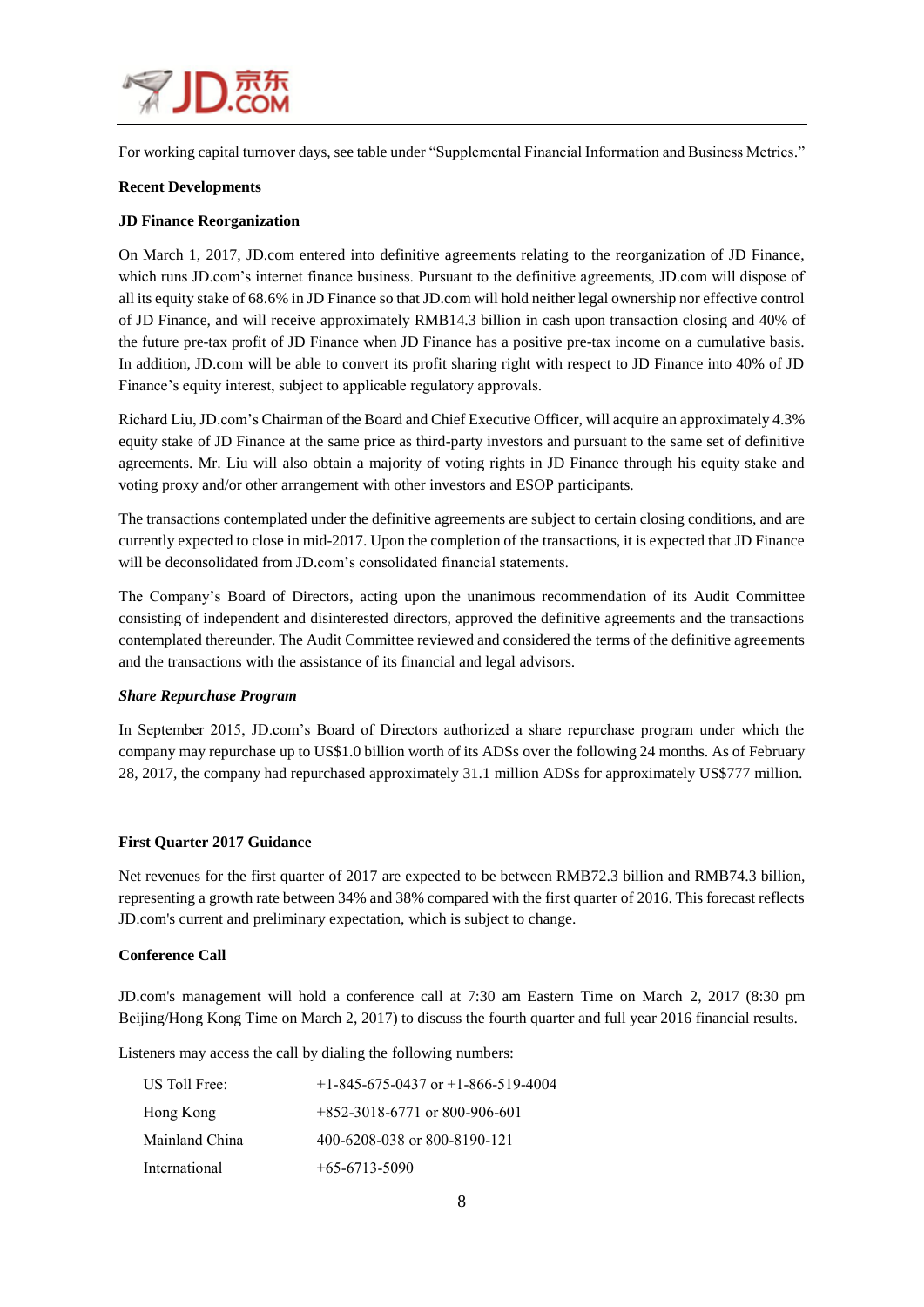

For working capital turnover days, see table under "Supplemental Financial Information and Business Metrics."

### **Recent Developments**

### **JD Finance Reorganization**

On March 1, 2017, JD.com entered into definitive agreements relating to the reorganization of JD Finance, which runs JD.com's internet finance business. Pursuant to the definitive agreements, JD.com will dispose of all its equity stake of 68.6% in JD Finance so that JD.com will hold neither legal ownership nor effective control of JD Finance, and will receive approximately RMB14.3 billion in cash upon transaction closing and 40% of the future pre-tax profit of JD Finance when JD Finance has a positive pre-tax income on a cumulative basis. In addition, JD.com will be able to convert its profit sharing right with respect to JD Finance into 40% of JD Finance's equity interest, subject to applicable regulatory approvals.

Richard Liu, JD.com's Chairman of the Board and Chief Executive Officer, will acquire an approximately 4.3% equity stake of JD Finance at the same price as third-party investors and pursuant to the same set of definitive agreements. Mr. Liu will also obtain a majority of voting rights in JD Finance through his equity stake and voting proxy and/or other arrangement with other investors and ESOP participants.

The transactions contemplated under the definitive agreements are subject to certain closing conditions, and are currently expected to close in mid-2017. Upon the completion of the transactions, it is expected that JD Finance will be deconsolidated from JD.com's consolidated financial statements.

The Company's Board of Directors, acting upon the unanimous recommendation of its Audit Committee consisting of independent and disinterested directors, approved the definitive agreements and the transactions contemplated thereunder. The Audit Committee reviewed and considered the terms of the definitive agreements and the transactions with the assistance of its financial and legal advisors.

#### *Share Repurchase Program*

In September 2015, JD.com's Board of Directors authorized a share repurchase program under which the company may repurchase up to US\$1.0 billion worth of its ADSs over the following 24 months. As of February 28, 2017, the company had repurchased approximately 31.1 million ADSs for approximately US\$777 million.

### **First Quarter 2017 Guidance**

Net revenues for the first quarter of 2017 are expected to be between RMB72.3 billion and RMB74.3 billion, representing a growth rate between 34% and 38% compared with the first quarter of 2016. This forecast reflects JD.com's current and preliminary expectation, which is subject to change.

#### **Conference Call**

JD.com's management will hold a conference call at 7:30 am Eastern Time on March 2, 2017 (8:30 pm Beijing/Hong Kong Time on March 2, 2017) to discuss the fourth quarter and full year 2016 financial results.

Listeners may access the call by dialing the following numbers:

| US Toll Free:  | $+1-845-675-0437$ or $+1-866-519-4004$ |
|----------------|----------------------------------------|
| Hong Kong      | $+852-3018-6771$ or 800-906-601        |
| Mainland China | 400-6208-038 or 800-8190-121           |
| International  | $+65-6713-5090$                        |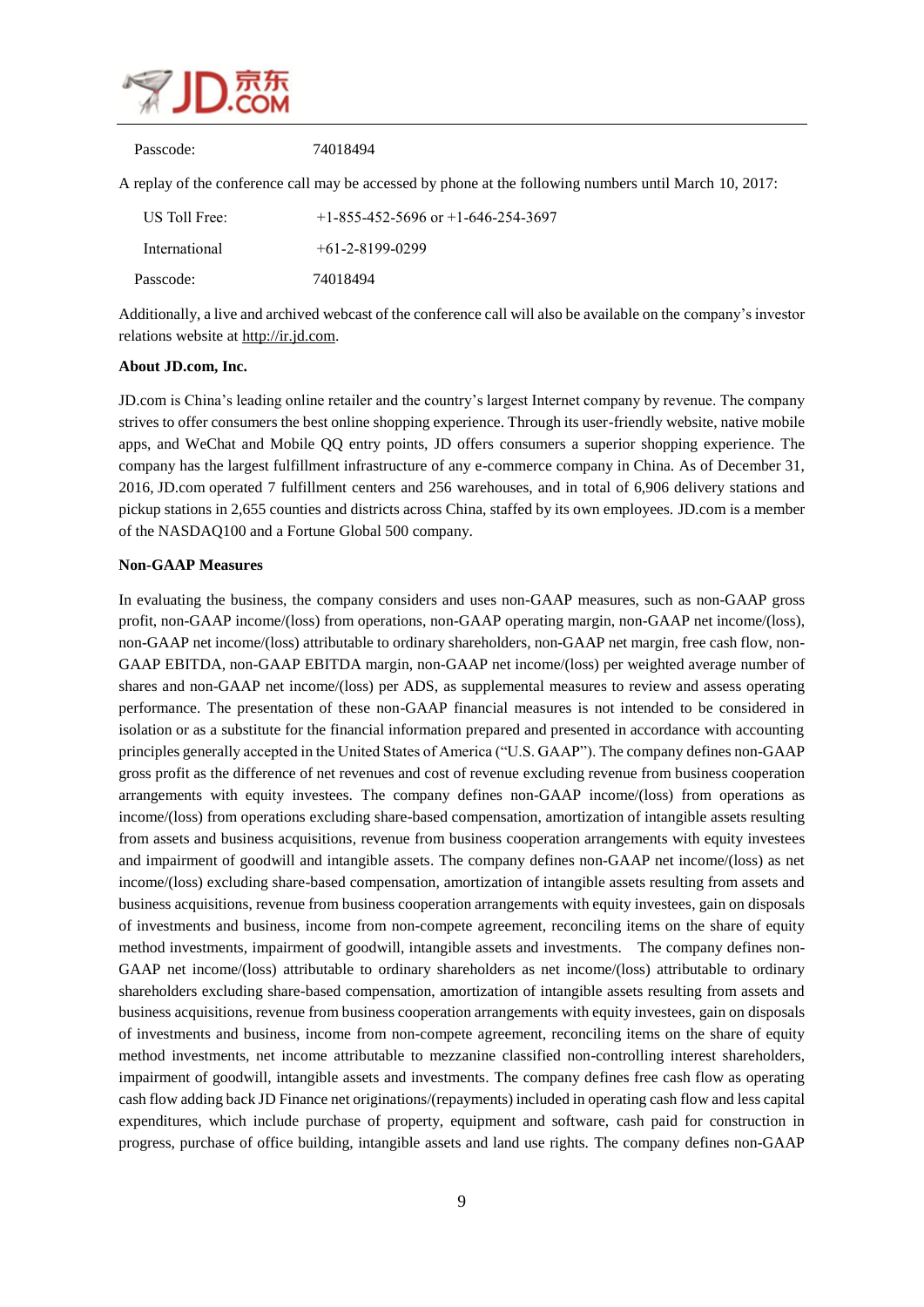

| Passcode:     | 74018494                                                                                                |
|---------------|---------------------------------------------------------------------------------------------------------|
|               | A replay of the conference call may be accessed by phone at the following numbers until March 10, 2017: |
| US Toll Free: | $+1-855-452-5696$ or $+1-646-254-3697$                                                                  |
| International | $+61 - 2 - 8199 - 0299$                                                                                 |
| Passcode:     | 74018494                                                                                                |

Additionally, a live and archived webcast of the conference call will also be available on the company's investor relations website at [http://ir.jd.com.](http://ir.jd.com/)

### **About JD.com, Inc.**

[JD.com](http://jd.com/) is China's leading online retailer and the country's largest Internet company by revenue. The company strives to offer consumers the best online shopping experience. Through its user-friendly website, native mobile apps, and WeChat and Mobile QQ entry points, JD offers consumers a superior shopping experience. The company has the largest fulfillment infrastructure of any e-commerce company in China. As of December 31, 2016, [JD.com](http://jd.com/) operated 7 fulfillment centers and 256 warehouses, and in total of 6,906 delivery stations and pickup stations in 2,655 counties and districts across China, staffed by its own employees. [JD.com](http://jd.com/) is a member of the NASDAQ100 and a Fortune Global 500 company.

#### **Non-GAAP Measures**

In evaluating the business, the company considers and uses non-GAAP measures, such as non-GAAP gross profit, non-GAAP income/(loss) from operations, non-GAAP operating margin, non-GAAP net income/(loss), non-GAAP net income/(loss) attributable to ordinary shareholders, non-GAAP net margin, free cash flow, non-GAAP EBITDA, non-GAAP EBITDA margin, non-GAAP net income/(loss) per weighted average number of shares and non-GAAP net income/(loss) per ADS, as supplemental measures to review and assess operating performance. The presentation of these non-GAAP financial measures is not intended to be considered in isolation or as a substitute for the financial information prepared and presented in accordance with accounting principles generally accepted in the United States of America ("U.S. GAAP"). The company defines non-GAAP gross profit as the difference of net revenues and cost of revenue excluding revenue from business cooperation arrangements with equity investees. The company defines non-GAAP income/(loss) from operations as income/(loss) from operations excluding share-based compensation, amortization of intangible assets resulting from assets and business acquisitions, revenue from business cooperation arrangements with equity investees and impairment of goodwill and intangible assets. The company defines non-GAAP net income/(loss) as net income/(loss) excluding share-based compensation, amortization of intangible assets resulting from assets and business acquisitions, revenue from business cooperation arrangements with equity investees, gain on disposals of investments and business, income from non-compete agreement, reconciling items on the share of equity method investments, impairment of goodwill, intangible assets and investments. The company defines non-GAAP net income/(loss) attributable to ordinary shareholders as net income/(loss) attributable to ordinary shareholders excluding share-based compensation, amortization of intangible assets resulting from assets and business acquisitions, revenue from business cooperation arrangements with equity investees, gain on disposals of investments and business, income from non-compete agreement, reconciling items on the share of equity method investments, net income attributable to mezzanine classified non-controlling interest shareholders, impairment of goodwill, intangible assets and investments. The company defines free cash flow as operating cash flow adding back JD Finance net originations/(repayments) included in operating cash flow and less capital expenditures, which include purchase of property, equipment and software, cash paid for construction in progress, purchase of office building, intangible assets and land use rights. The company defines non-GAAP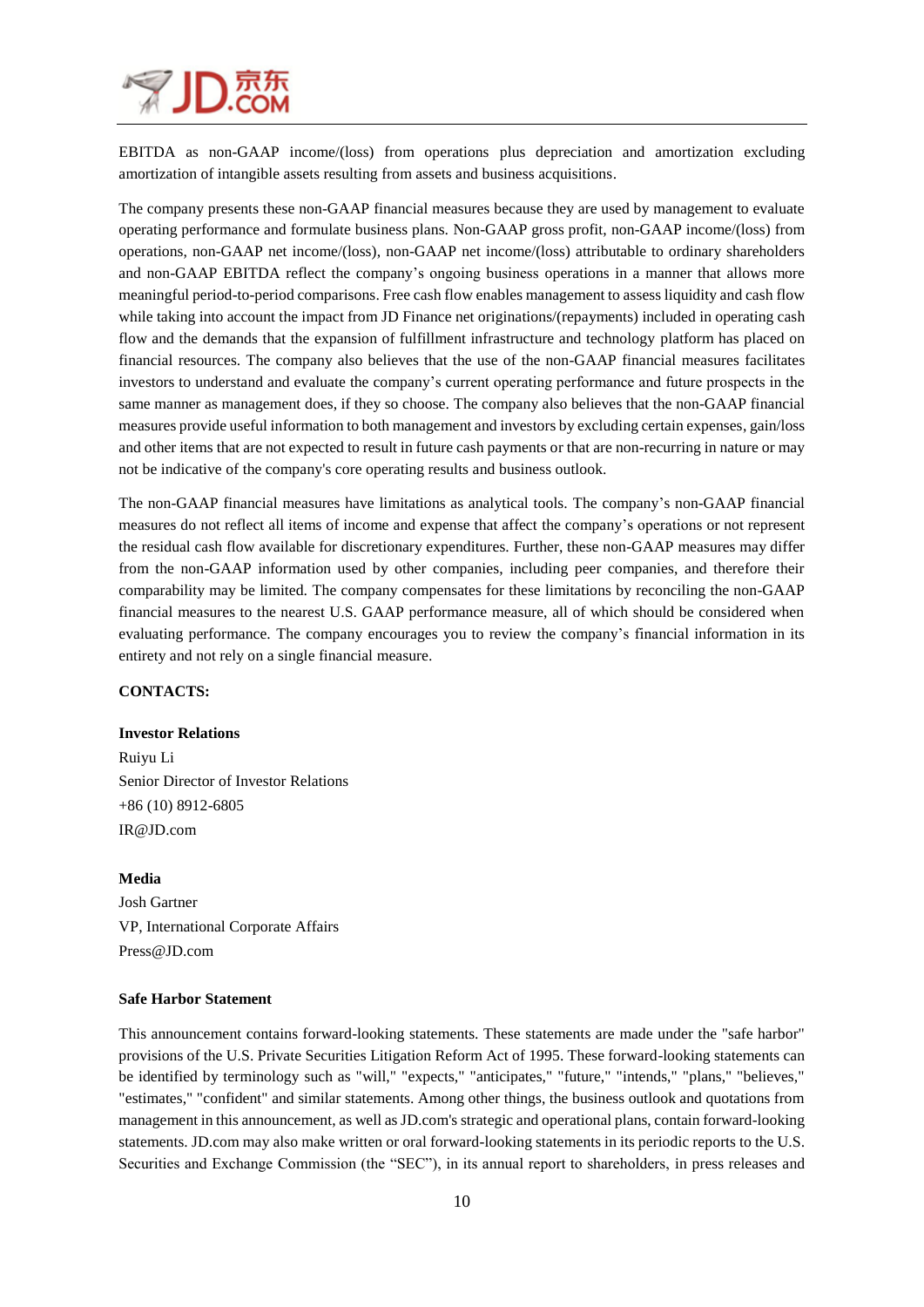

EBITDA as non-GAAP income/(loss) from operations plus depreciation and amortization excluding amortization of intangible assets resulting from assets and business acquisitions.

The company presents these non-GAAP financial measures because they are used by management to evaluate operating performance and formulate business plans. Non-GAAP gross profit, non-GAAP income/(loss) from operations, non-GAAP net income/(loss), non-GAAP net income/(loss) attributable to ordinary shareholders and non-GAAP EBITDA reflect the company's ongoing business operations in a manner that allows more meaningful period-to-period comparisons. Free cash flow enables management to assess liquidity and cash flow while taking into account the impact from JD Finance net originations/(repayments) included in operating cash flow and the demands that the expansion of fulfillment infrastructure and technology platform has placed on financial resources. The company also believes that the use of the non-GAAP financial measures facilitates investors to understand and evaluate the company's current operating performance and future prospects in the same manner as management does, if they so choose. The company also believes that the non-GAAP financial measures provide useful information to both management and investors by excluding certain expenses, gain/loss and other items that are not expected to result in future cash payments or that are non-recurring in nature or may not be indicative of the company's core operating results and business outlook.

The non-GAAP financial measures have limitations as analytical tools. The company's non-GAAP financial measures do not reflect all items of income and expense that affect the company's operations or not represent the residual cash flow available for discretionary expenditures. Further, these non-GAAP measures may differ from the non-GAAP information used by other companies, including peer companies, and therefore their comparability may be limited. The company compensates for these limitations by reconciling the non-GAAP financial measures to the nearest U.S. GAAP performance measure, all of which should be considered when evaluating performance. The company encourages you to review the company's financial information in its entirety and not rely on a single financial measure.

#### **CONTACTS:**

#### **Investor Relations**

Ruiyu Li Senior Director of Investor Relations +86 (10) 8912-6805 IR@JD.com

#### **Media**

Josh Gartner VP, International Corporate Affairs Press@JD.com

#### **Safe Harbor Statement**

This announcement contains forward-looking statements. These statements are made under the "safe harbor" provisions of the U.S. Private Securities Litigation Reform Act of 1995. These forward-looking statements can be identified by terminology such as "will," "expects," "anticipates," "future," "intends," "plans," "believes," "estimates," "confident" and similar statements. Among other things, the business outlook and quotations from management in this announcement, as well as JD.com's strategic and operational plans, contain forward-looking statements. JD.com may also make written or oral forward-looking statements in its periodic reports to the U.S. Securities and Exchange Commission (the "SEC"), in its annual report to shareholders, in press releases and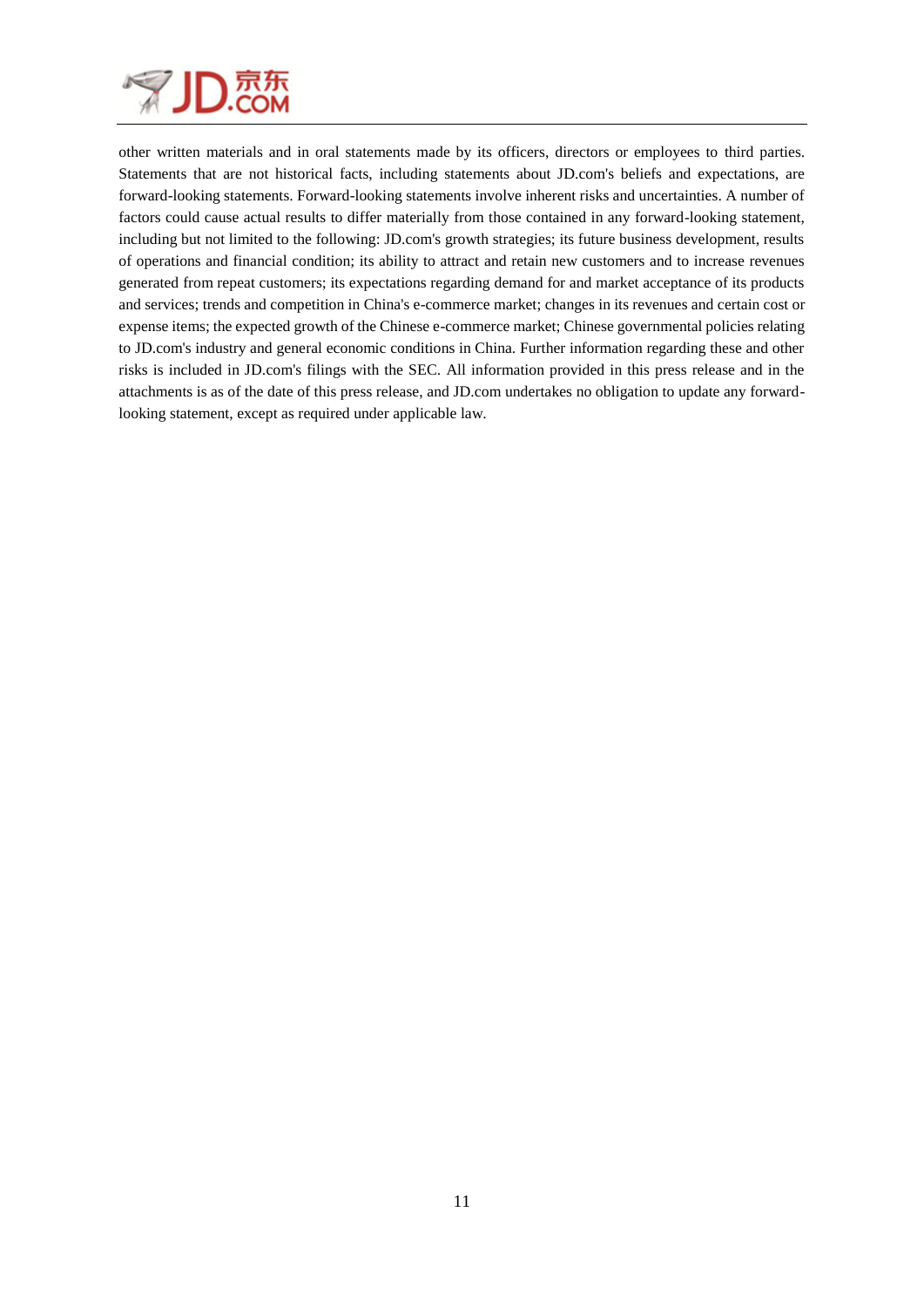

other written materials and in oral statements made by its officers, directors or employees to third parties. Statements that are not historical facts, including statements about JD.com's beliefs and expectations, are forward-looking statements. Forward-looking statements involve inherent risks and uncertainties. A number of factors could cause actual results to differ materially from those contained in any forward-looking statement, including but not limited to the following: JD.com's growth strategies; its future business development, results of operations and financial condition; its ability to attract and retain new customers and to increase revenues generated from repeat customers; its expectations regarding demand for and market acceptance of its products and services; trends and competition in China's e-commerce market; changes in its revenues and certain cost or expense items; the expected growth of the Chinese e-commerce market; Chinese governmental policies relating to JD.com's industry and general economic conditions in China. Further information regarding these and other risks is included in JD.com's filings with the SEC. All information provided in this press release and in the attachments is as of the date of this press release, and JD.com undertakes no obligation to update any forwardlooking statement, except as required under applicable law.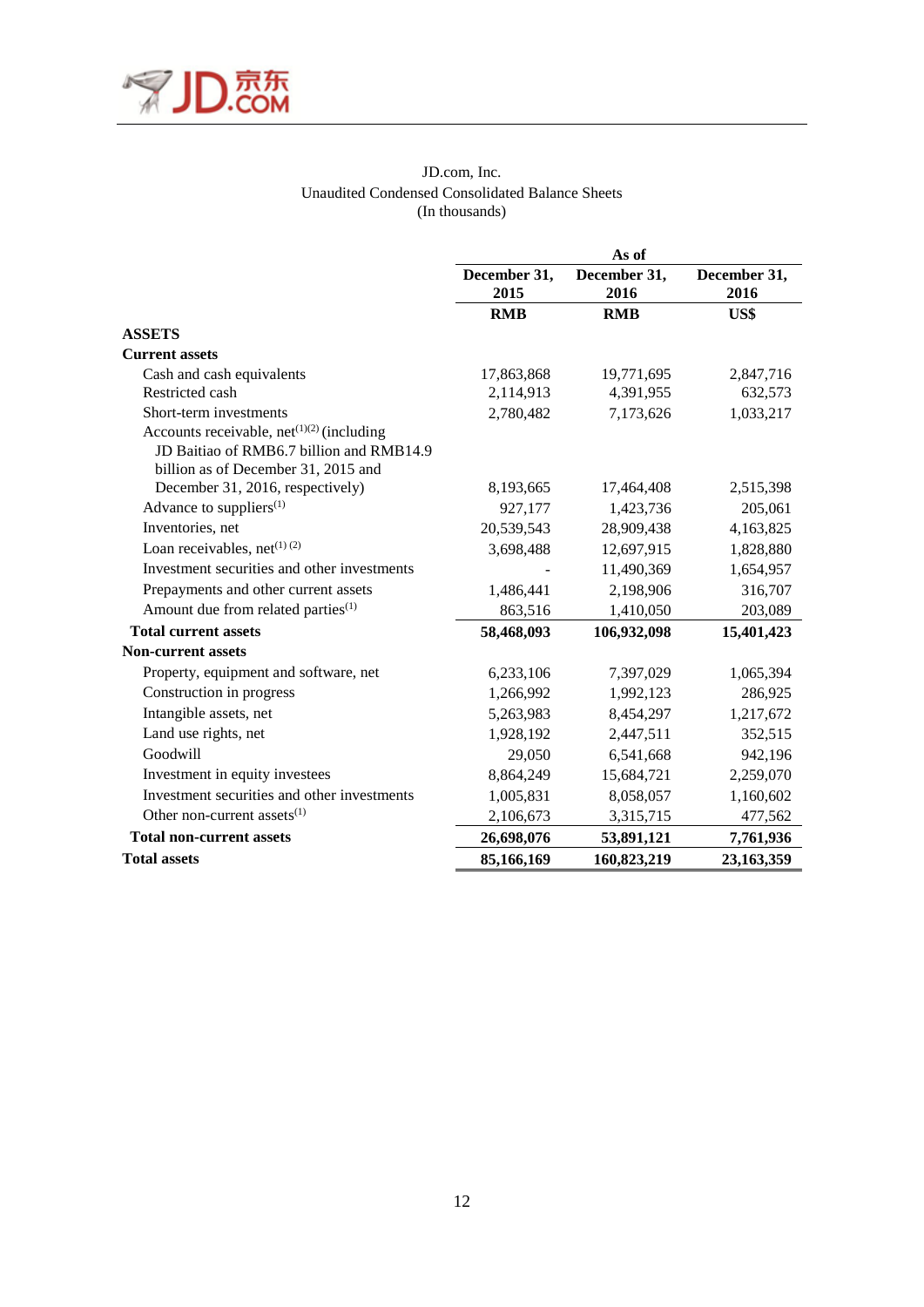

### JD.com, Inc. Unaudited Condensed Consolidated Balance Sheets (In thousands)

|                                                                    | As of                |                      |                      |  |  |  |
|--------------------------------------------------------------------|----------------------|----------------------|----------------------|--|--|--|
|                                                                    | December 31,<br>2015 | December 31,<br>2016 | December 31,<br>2016 |  |  |  |
|                                                                    | <b>RMB</b>           | <b>RMB</b>           | US\$                 |  |  |  |
| <b>ASSETS</b>                                                      |                      |                      |                      |  |  |  |
| <b>Current assets</b>                                              |                      |                      |                      |  |  |  |
| Cash and cash equivalents                                          | 17,863,868           | 19,771,695           | 2,847,716            |  |  |  |
| Restricted cash                                                    | 2,114,913            | 4,391,955            | 632,573              |  |  |  |
| Short-term investments                                             | 2,780,482            | 7,173,626            | 1,033,217            |  |  |  |
| Accounts receivable, net <sup><math>(1)(2)</math></sup> (including |                      |                      |                      |  |  |  |
| JD Baitiao of RMB6.7 billion and RMB14.9                           |                      |                      |                      |  |  |  |
| billion as of December 31, 2015 and                                |                      |                      |                      |  |  |  |
| December 31, 2016, respectively)                                   | 8,193,665            | 17,464,408           | 2,515,398            |  |  |  |
| Advance to suppliers $(1)$                                         | 927,177              | 1,423,736            | 205,061              |  |  |  |
| Inventories, net                                                   | 20,539,543           | 28,909,438           | 4,163,825            |  |  |  |
| Loan receivables, net <sup><math>(1)(2)</math></sup>               | 3,698,488            | 12,697,915           | 1,828,880            |  |  |  |
| Investment securities and other investments                        |                      | 11,490,369           | 1,654,957            |  |  |  |
| Prepayments and other current assets                               | 1,486,441            | 2,198,906            | 316,707              |  |  |  |
| Amount due from related parties <sup>(1)</sup>                     | 863,516              | 1,410,050            | 203,089              |  |  |  |
| <b>Total current assets</b>                                        | 58,468,093           | 106,932,098          | 15,401,423           |  |  |  |
| <b>Non-current assets</b>                                          |                      |                      |                      |  |  |  |
| Property, equipment and software, net                              | 6,233,106            | 7,397,029            | 1,065,394            |  |  |  |
| Construction in progress                                           | 1,266,992            | 1,992,123            | 286,925              |  |  |  |
| Intangible assets, net                                             | 5,263,983            | 8,454,297            | 1,217,672            |  |  |  |
| Land use rights, net                                               | 1,928,192            | 2,447,511            | 352,515              |  |  |  |
| Goodwill                                                           | 29,050               | 6,541,668            | 942,196              |  |  |  |
| Investment in equity investees                                     | 8,864,249            | 15,684,721           | 2,259,070            |  |  |  |
| Investment securities and other investments                        | 1,005,831            | 8,058,057            | 1,160,602            |  |  |  |
| Other non-current assets <sup>(1)</sup>                            | 2,106,673            | 3,315,715            | 477,562              |  |  |  |
| <b>Total non-current assets</b>                                    | 26,698,076           | 53,891,121           | 7,761,936            |  |  |  |
| <b>Total assets</b>                                                | 85,166,169           | 160,823,219          | 23,163,359           |  |  |  |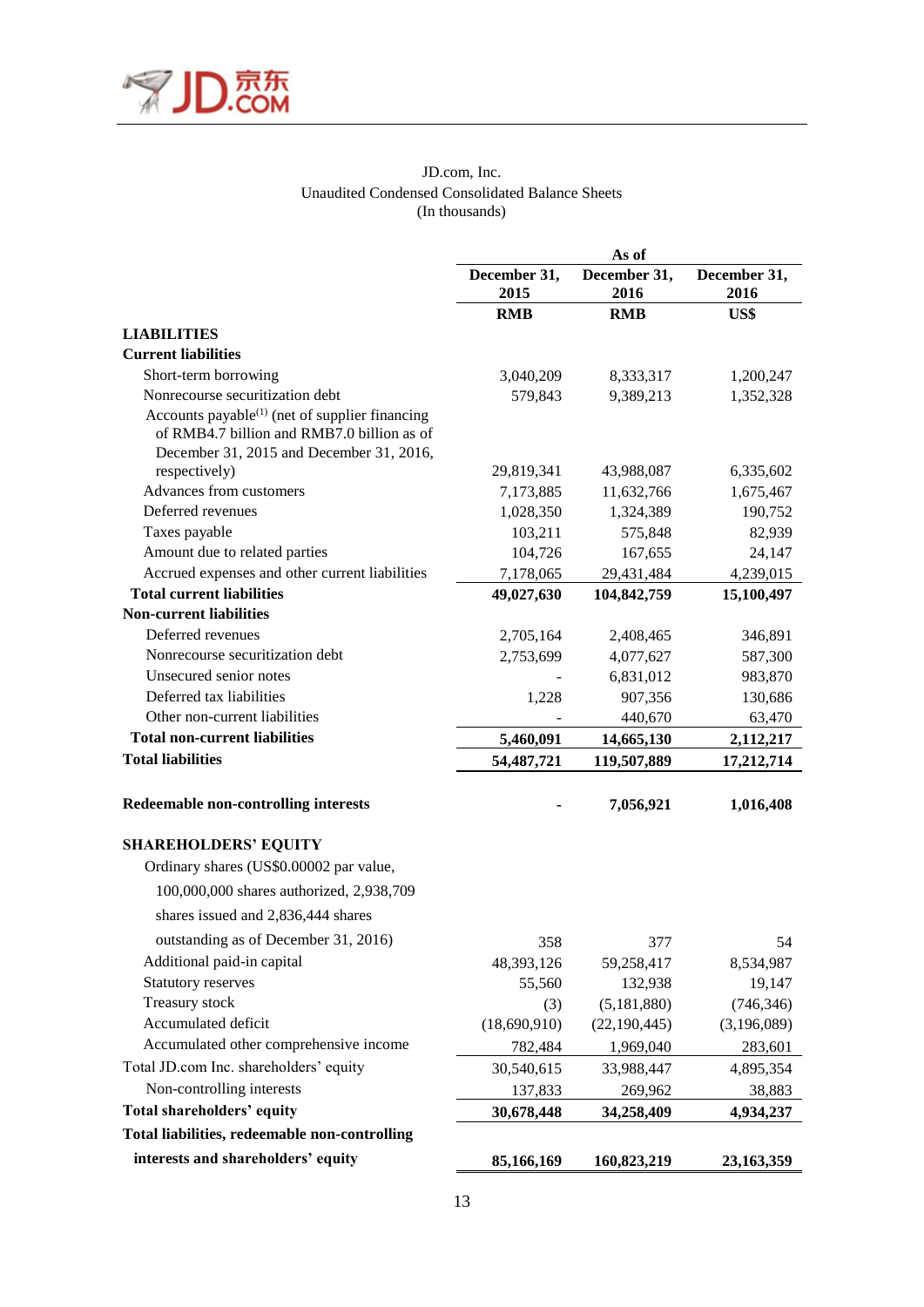

### JD.com, Inc. Unaudited Condensed Consolidated Balance Sheets (In thousands)

|                                                                                                          | As of                |                      |                      |  |  |  |
|----------------------------------------------------------------------------------------------------------|----------------------|----------------------|----------------------|--|--|--|
|                                                                                                          | December 31,<br>2015 | December 31,<br>2016 | December 31,<br>2016 |  |  |  |
|                                                                                                          | <b>RMB</b>           | <b>RMB</b>           | US\$                 |  |  |  |
| <b>LIABILITIES</b>                                                                                       |                      |                      |                      |  |  |  |
| <b>Current liabilities</b>                                                                               |                      |                      |                      |  |  |  |
| Short-term borrowing                                                                                     | 3,040,209            | 8,333,317            | 1,200,247            |  |  |  |
| Nonrecourse securitization debt                                                                          | 579,843              | 9,389,213            | 1,352,328            |  |  |  |
| Accounts payable <sup>(1)</sup> (net of supplier financing<br>of RMB4.7 billion and RMB7.0 billion as of |                      |                      |                      |  |  |  |
| December 31, 2015 and December 31, 2016,                                                                 |                      |                      |                      |  |  |  |
| respectively)                                                                                            | 29,819,341           | 43,988,087           | 6,335,602            |  |  |  |
| Advances from customers                                                                                  | 7,173,885            | 11,632,766           | 1,675,467            |  |  |  |
| Deferred revenues                                                                                        | 1,028,350            | 1,324,389            | 190,752              |  |  |  |
| Taxes payable                                                                                            | 103,211              | 575,848              | 82,939               |  |  |  |
| Amount due to related parties                                                                            | 104,726              | 167,655              | 24,147               |  |  |  |
| Accrued expenses and other current liabilities                                                           | 7,178,065            | 29,431,484           | 4,239,015            |  |  |  |
| <b>Total current liabilities</b>                                                                         | 49,027,630           | 104,842,759          | 15,100,497           |  |  |  |
| <b>Non-current liabilities</b>                                                                           |                      |                      |                      |  |  |  |
| Deferred revenues                                                                                        | 2,705,164            | 2,408,465            | 346,891              |  |  |  |
| Nonrecourse securitization debt                                                                          | 2,753,699            | 4,077,627            | 587,300              |  |  |  |
| Unsecured senior notes                                                                                   |                      | 6,831,012            | 983,870              |  |  |  |
| Deferred tax liabilities                                                                                 | 1,228                | 907,356              | 130,686              |  |  |  |
| Other non-current liabilities                                                                            |                      | 440,670              | 63,470               |  |  |  |
| <b>Total non-current liabilities</b>                                                                     | 5,460,091            | 14,665,130           | 2,112,217            |  |  |  |
| <b>Total liabilities</b>                                                                                 | 54, 487, 721         | 119,507,889          | 17,212,714           |  |  |  |
| Redeemable non-controlling interests                                                                     |                      | 7,056,921            | 1,016,408            |  |  |  |
| <b>SHAREHOLDERS' EQUITY</b>                                                                              |                      |                      |                      |  |  |  |
| Ordinary shares (US\$0.00002 par value,                                                                  |                      |                      |                      |  |  |  |
| 100,000,000 shares authorized, 2,938,709                                                                 |                      |                      |                      |  |  |  |
| shares issued and 2,836,444 shares                                                                       |                      |                      |                      |  |  |  |
|                                                                                                          |                      |                      |                      |  |  |  |
| outstanding as of December 31, 2016)                                                                     | 358                  | 377                  | 54                   |  |  |  |
| Additional paid-in capital                                                                               | 48, 393, 126         | 59,258,417           | 8,534,987            |  |  |  |
| Statutory reserves                                                                                       | 55,560               | 132,938              | 19,147               |  |  |  |
| Treasury stock                                                                                           | (3)                  | (5,181,880)          | (746, 346)           |  |  |  |
| Accumulated deficit                                                                                      | (18,690,910)         | (22, 190, 445)       | (3,196,089)          |  |  |  |
| Accumulated other comprehensive income                                                                   | 782,484              | 1,969,040            | 283,601              |  |  |  |
| Total JD.com Inc. shareholders' equity                                                                   | 30,540,615           | 33,988,447           | 4,895,354            |  |  |  |
| Non-controlling interests                                                                                | 137,833              | 269,962              | 38,883               |  |  |  |
| <b>Total shareholders' equity</b>                                                                        | 30,678,448           | 34,258,409           | 4,934,237            |  |  |  |
| Total liabilities, redeemable non-controlling                                                            |                      |                      |                      |  |  |  |
| interests and shareholders' equity                                                                       | 85,166,169           | 160,823,219          | 23,163,359           |  |  |  |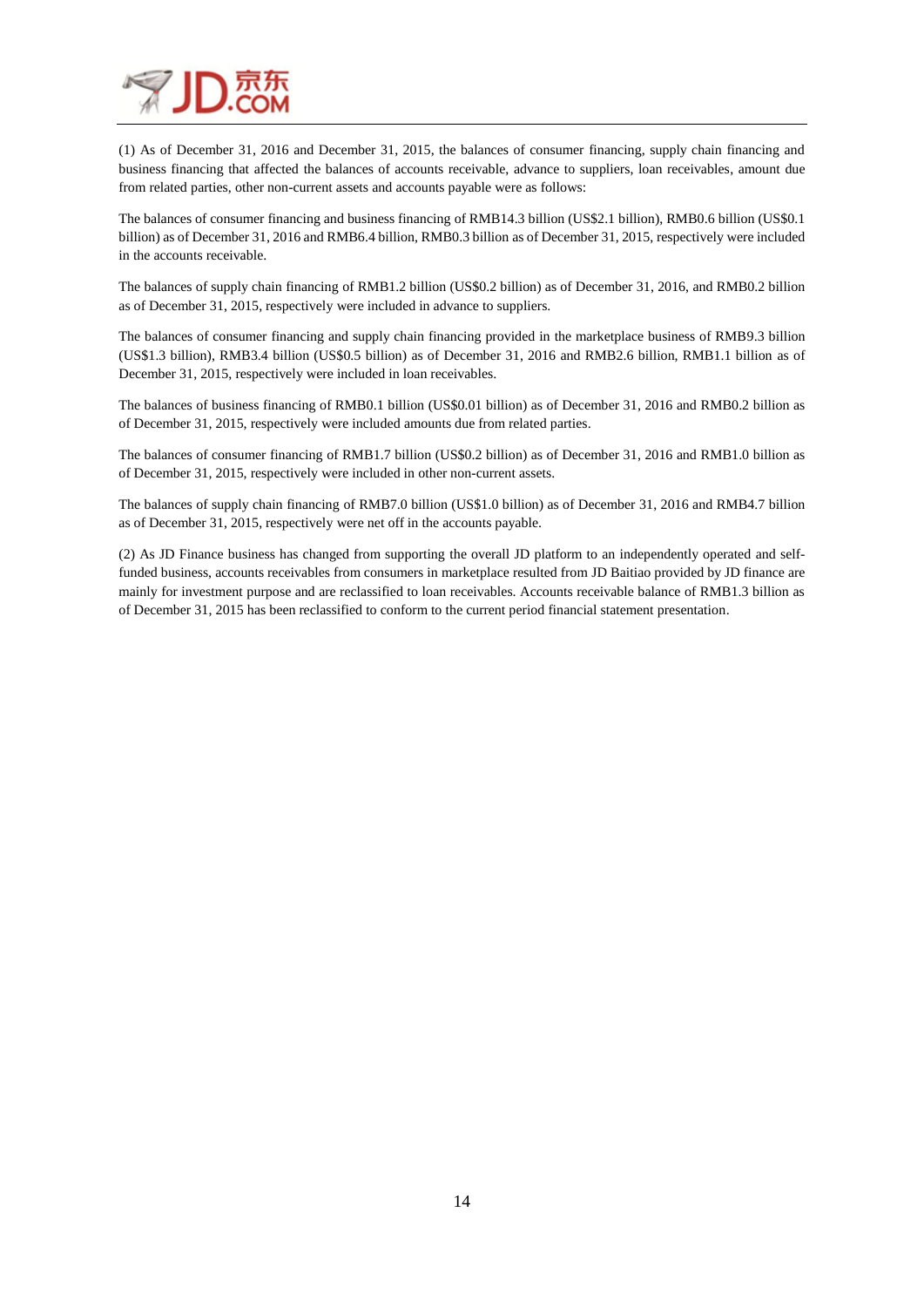

(1) As of December 31, 2016 and December 31, 2015, the balances of consumer financing, supply chain financing and business financing that affected the balances of accounts receivable, advance to suppliers, loan receivables, amount due from related parties, other non-current assets and accounts payable were as follows:

The balances of consumer financing and business financing of RMB14.3 billion (US\$2.1 billion), RMB0.6 billion (US\$0.1 billion) as of December 31, 2016 and RMB6.4 billion, RMB0.3 billion as of December 31, 2015, respectively were included in the accounts receivable.

The balances of supply chain financing of RMB1.2 billion (US\$0.2 billion) as of December 31, 2016, and RMB0.2 billion as of December 31, 2015, respectively were included in advance to suppliers.

The balances of consumer financing and supply chain financing provided in the marketplace business of RMB9.3 billion (US\$1.3 billion), RMB3.4 billion (US\$0.5 billion) as of December 31, 2016 and RMB2.6 billion, RMB1.1 billion as of December 31, 2015, respectively were included in loan receivables.

The balances of business financing of RMB0.1 billion (US\$0.01 billion) as of December 31, 2016 and RMB0.2 billion as of December 31, 2015, respectively were included amounts due from related parties.

The balances of consumer financing of RMB1.7 billion (US\$0.2 billion) as of December 31, 2016 and RMB1.0 billion as of December 31, 2015, respectively were included in other non-current assets.

The balances of supply chain financing of RMB7.0 billion (US\$1.0 billion) as of December 31, 2016 and RMB4.7 billion as of December 31, 2015, respectively were net off in the accounts payable.

(2) As JD Finance business has changed from supporting the overall JD platform to an independently operated and selffunded business, accounts receivables from consumers in marketplace resulted from JD Baitiao provided by JD finance are mainly for investment purpose and are reclassified to loan receivables. Accounts receivable balance of RMB1.3 billion as of December 31, 2015 has been reclassified to conform to the current period financial statement presentation.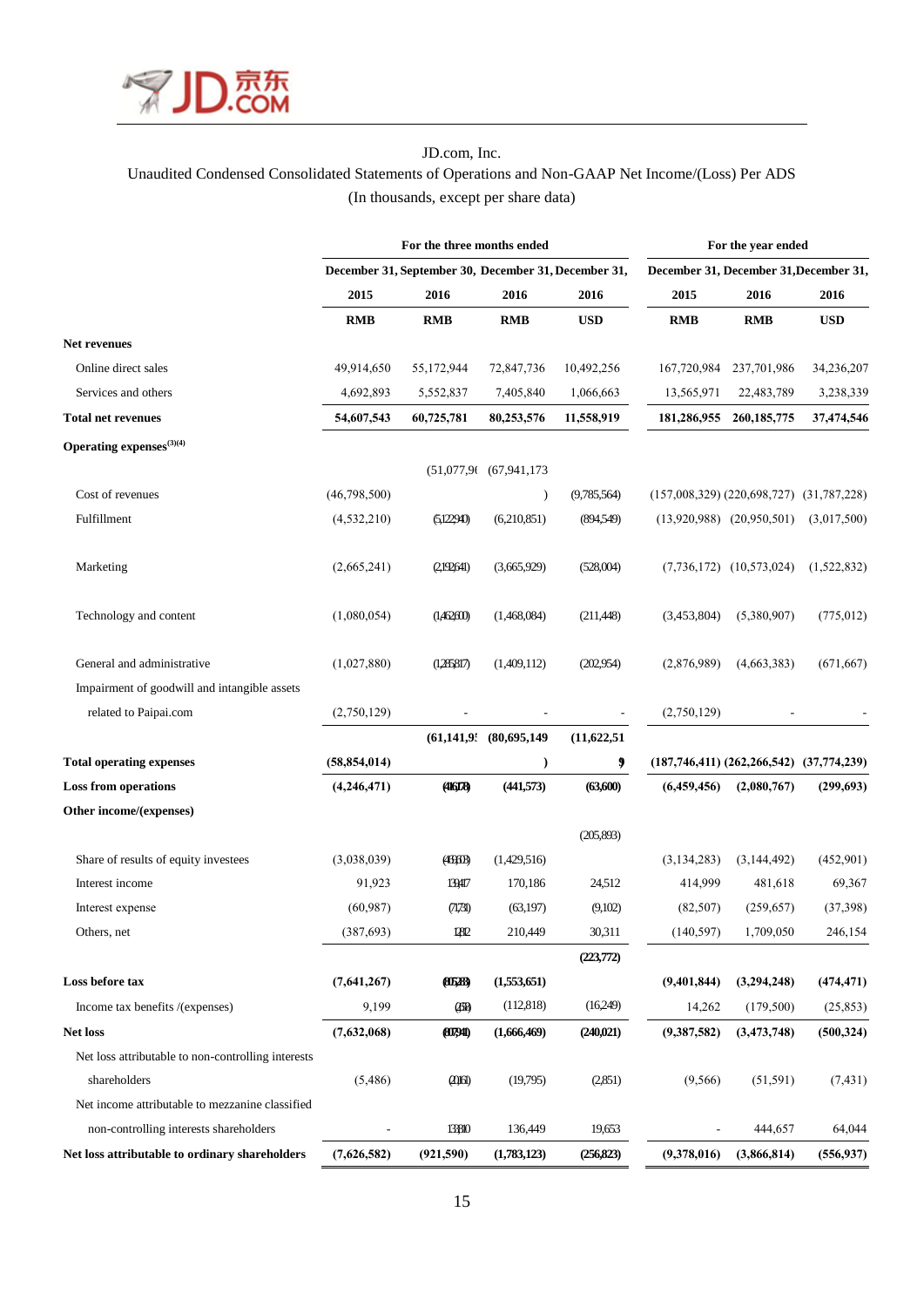

# JD.com, Inc. Unaudited Condensed Consolidated Statements of Operations and Non-GAAP Net Income/(Loss) Per ADS (In thousands, except per share data)

|                                                    | For the three months ended |                                                      |                              |             | For the year ended                         |                               |                |  |
|----------------------------------------------------|----------------------------|------------------------------------------------------|------------------------------|-------------|--------------------------------------------|-------------------------------|----------------|--|
|                                                    |                            | December 31, September 30, December 31, December 31, |                              |             | December 31, December 31, December 31,     |                               |                |  |
|                                                    | 2015                       | 2016                                                 | 2016                         | 2016        | 2015                                       | 2016                          | 2016           |  |
|                                                    | <b>RMB</b>                 | <b>RMB</b>                                           | <b>RMB</b>                   | <b>USD</b>  | <b>RMB</b>                                 | <b>RMB</b>                    | <b>USD</b>     |  |
| Net revenues                                       |                            |                                                      |                              |             |                                            |                               |                |  |
| Online direct sales                                | 49,914,650                 | 55,172,944                                           | 72,847,736                   | 10,492,256  | 167,720,984                                | 237,701,986                   | 34,236,207     |  |
| Services and others                                | 4,692,893                  | 5,552,837                                            | 7,405,840                    | 1,066,663   | 13,565,971                                 | 22,483,789                    | 3,238,339      |  |
| <b>Total net revenues</b>                          | 54,607,543                 | 60,725,781                                           | 80,253,576                   | 11,558,919  | 181,286,955                                | 260, 185, 775                 | 37,474,546     |  |
| Operating expenses $(3)(4)$                        |                            |                                                      |                              |             |                                            |                               |                |  |
|                                                    |                            |                                                      | $(51,077,96)$ $(67,941,173)$ |             |                                            |                               |                |  |
| Cost of revenues                                   | (46,798,500)               |                                                      | $\lambda$                    | (9,785,564) | $(157,008,329)$ $(220,698,727)$            |                               | (31, 787, 228) |  |
| Fulfillment                                        | (4,532,210)                | (5,12294)                                            | (6,210,851)                  | (894,549)   |                                            | $(13,920,988)$ $(20,950,501)$ | (3,017,500)    |  |
| Marketing                                          | (2,665,241)                | (2,192,641)                                          | (3,665,929)                  | (528,004)   |                                            | $(7,736,172)$ $(10,573,024)$  | (1,522,832)    |  |
| Technology and content                             | (1,080,054)                | (1,462,600)                                          | (1,468,084)                  | (211,448)   | (3,453,804)                                | (5,380,907)                   | (775, 012)     |  |
| General and administrative                         | (1,027,880)                | (1,285817)                                           | (1,409,112)                  | (202,954)   | (2,876,989)                                | (4,663,383)                   | (671, 667)     |  |
| Impairment of goodwill and intangible assets       |                            |                                                      |                              |             |                                            |                               |                |  |
| related to Paipai.com                              | (2,750,129)                |                                                      |                              |             | (2,750,129)                                |                               |                |  |
|                                                    |                            | (61, 141, 9)                                         | (80,695,149)                 | (11,622,51) |                                            |                               |                |  |
| <b>Total operating expenses</b>                    | (58, 854, 014)             |                                                      | $\mathcal{E}$                | 9           | $(187,746,411) (262,266,542) (37,774,239)$ |                               |                |  |
| <b>Loss from operations</b>                        | (4,246,471)                | (416178)                                             | (441,573)                    | (63,600)    | (6,459,456)                                | (2,080,767)                   | (299, 693)     |  |
| Other income/(expenses)                            |                            |                                                      |                              |             |                                            |                               |                |  |
|                                                    |                            |                                                      |                              | (205,893)   |                                            |                               |                |  |
| Share of results of equity investees               | (3,038,039)                | (46961B)                                             | (1,429,516)                  |             | (3, 134, 283)                              | (3,144,492)                   | (452,901)      |  |
| Interest income                                    | 91,923                     | 139417                                               | 170,186                      | 24,512      | 414,999                                    | 481,618                       | 69,367         |  |
| Interest expense                                   | (60, 987)                  | (71731)                                              | (63,197)                     | (9,102)     | (82,507)                                   | (259, 657)                    | (37, 398)      |  |
| Others, net                                        | (387, 693)                 | 12812                                                | 210,449                      | 30,311      | (140, 597)                                 | 1,709,050                     | 246,154        |  |
|                                                    |                            |                                                      |                              | (223,772)   |                                            |                               |                |  |
| Loss before tax                                    | (7,641,267)                | 805283                                               | (1,553,651)                  |             | (9,401,844)                                | (3,294,248)                   | (474, 471)     |  |
| Income tax benefits /(expenses)                    | 9,199                      | (IB)                                                 | (112, 818)                   | (16,249)    | 14,262                                     | (179,500)                     | (25, 853)      |  |
| Net loss                                           | (7,632,068)                | 807940                                               | (1,666,469)                  | (240, 021)  | (9,387,582)                                | (3,473,748)                   | (500, 324)     |  |
| Net loss attributable to non-controlling interests |                            |                                                      |                              |             |                                            |                               |                |  |
| shareholders                                       | (5,486)                    | $(2)$ $(6)$                                          | (19,795)                     | (2,851)     | (9, 566)                                   | (51, 591)                     | (7, 431)       |  |
| Net income attributable to mezzanine classified    |                            |                                                      |                              |             |                                            |                               |                |  |
| non-controlling interests shareholders             |                            | 133810                                               | 136,449                      | 19,653      |                                            | 444,657                       | 64,044         |  |
| Net loss attributable to ordinary shareholders     | (7,626,582)                | (921,590)                                            | (1,783,123)                  | (256, 823)  | (9,378,016)                                | (3,866,814)                   | (556, 937)     |  |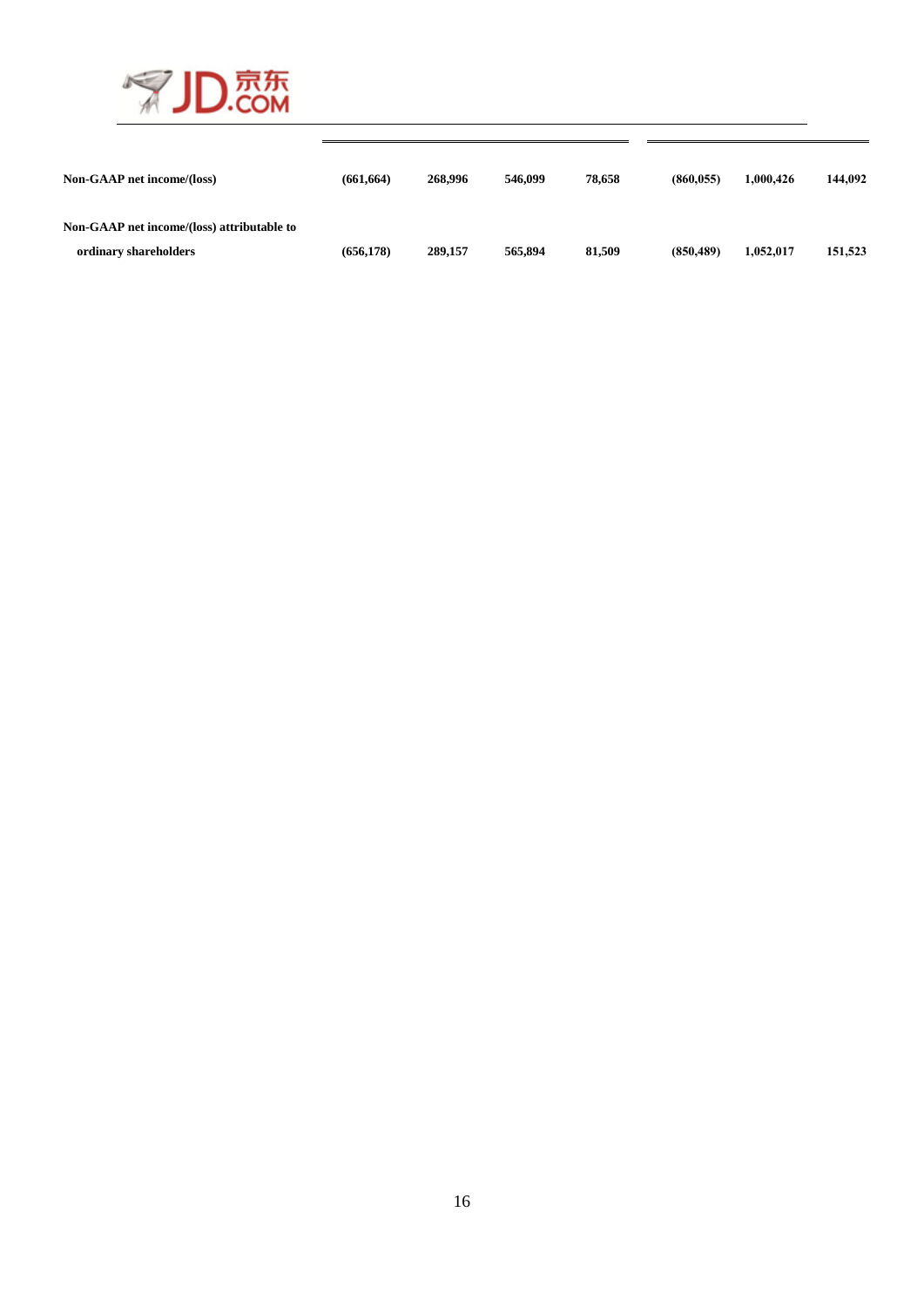

| Non-GAAP net income/(loss)                                          | (661, 664) | 268,996 | 546,099 | 78,658 | (860.055) | 1.000.426 | 144,092 |
|---------------------------------------------------------------------|------------|---------|---------|--------|-----------|-----------|---------|
| Non-GAAP net income/(loss) attributable to<br>ordinary shareholders | (656.178)  | 289,157 | 565,894 | 81,509 | (850.489) | 1,052,017 | 151,523 |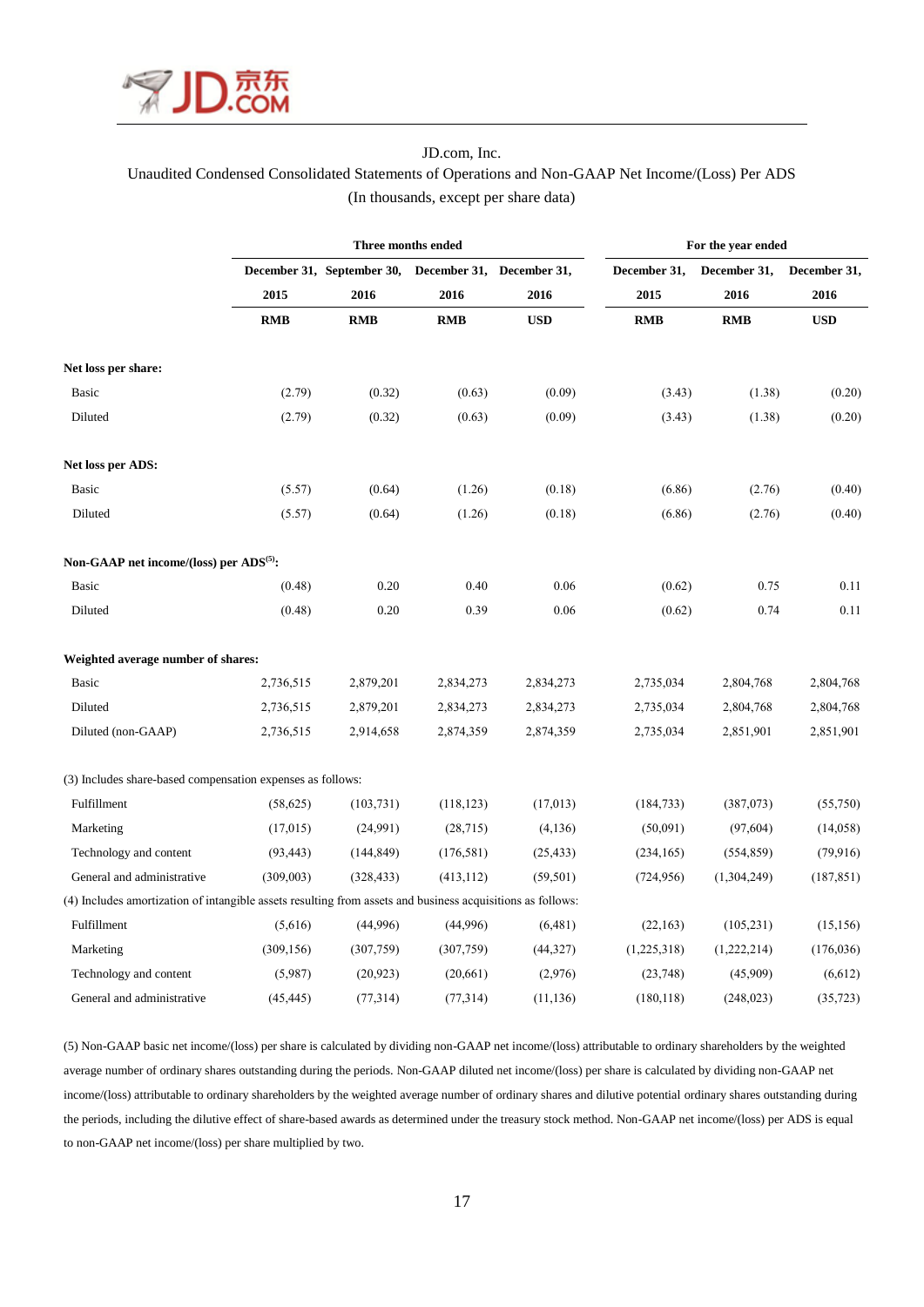

# JD.com, Inc. Unaudited Condensed Consolidated Statements of Operations and Non-GAAP Net Income/(Loss) Per ADS (In thousands, except per share data)

|                                                                                                            | Three months ended |                            |                           |            | For the year ended |              |              |  |
|------------------------------------------------------------------------------------------------------------|--------------------|----------------------------|---------------------------|------------|--------------------|--------------|--------------|--|
|                                                                                                            |                    | December 31, September 30, | December 31, December 31, |            | December 31,       | December 31, | December 31, |  |
|                                                                                                            | 2015               | 2016                       | 2016                      | 2016       | 2015               | 2016         | 2016         |  |
|                                                                                                            | <b>RMB</b>         | <b>RMB</b>                 | <b>RMB</b>                | <b>USD</b> | <b>RMB</b>         | <b>RMB</b>   | <b>USD</b>   |  |
| Net loss per share:                                                                                        |                    |                            |                           |            |                    |              |              |  |
| Basic                                                                                                      | (2.79)             | (0.32)                     | (0.63)                    | (0.09)     | (3.43)             | (1.38)       | (0.20)       |  |
| Diluted                                                                                                    | (2.79)             | (0.32)                     | (0.63)                    | (0.09)     | (3.43)             | (1.38)       | (0.20)       |  |
| Net loss per ADS:                                                                                          |                    |                            |                           |            |                    |              |              |  |
| <b>Basic</b>                                                                                               | (5.57)             | (0.64)                     | (1.26)                    | (0.18)     | (6.86)             | (2.76)       | (0.40)       |  |
| Diluted                                                                                                    | (5.57)             | (0.64)                     | (1.26)                    | (0.18)     | (6.86)             | (2.76)       | (0.40)       |  |
| Non-GAAP net income/(loss) per ADS <sup>(5)</sup> :                                                        |                    |                            |                           |            |                    |              |              |  |
| Basic                                                                                                      | (0.48)             | 0.20                       | 0.40                      | 0.06       | (0.62)             | 0.75         | 0.11         |  |
| Diluted                                                                                                    | (0.48)             | 0.20                       | 0.39                      | 0.06       | (0.62)             | 0.74         | 0.11         |  |
| Weighted average number of shares:                                                                         |                    |                            |                           |            |                    |              |              |  |
| Basic                                                                                                      | 2,736,515          | 2,879,201                  | 2,834,273                 | 2,834,273  | 2,735,034          | 2,804,768    | 2,804,768    |  |
| Diluted                                                                                                    | 2,736,515          | 2,879,201                  | 2,834,273                 | 2,834,273  | 2,735,034          | 2,804,768    | 2,804,768    |  |
| Diluted (non-GAAP)                                                                                         | 2,736,515          | 2,914,658                  | 2,874,359                 | 2,874,359  | 2,735,034          | 2,851,901    | 2,851,901    |  |
| (3) Includes share-based compensation expenses as follows:                                                 |                    |                            |                           |            |                    |              |              |  |
| Fulfillment                                                                                                | (58, 625)          | (103, 731)                 | (118, 123)                | (17, 013)  | (184, 733)         | (387,073)    | (55,750)     |  |
| Marketing                                                                                                  | (17, 015)          | (24,991)                   | (28,715)                  | (4,136)    | (50,091)           | (97, 604)    | (14,058)     |  |
| Technology and content                                                                                     | (93, 443)          | (144, 849)                 | (176, 581)                | (25, 433)  | (234, 165)         | (554, 859)   | (79, 916)    |  |
| General and administrative                                                                                 | (309,003)          | (328, 433)                 | (413, 112)                | (59, 501)  | (724, 956)         | (1,304,249)  | (187, 851)   |  |
| (4) Includes amortization of intangible assets resulting from assets and business acquisitions as follows: |                    |                            |                           |            |                    |              |              |  |
| Fulfillment                                                                                                | (5,616)            | (44,996)                   | (44,996)                  | (6,481)    | (22,163)           | (105, 231)   | (15, 156)    |  |
| Marketing                                                                                                  | (309, 156)         | (307,759)                  | (307,759)                 | (44,327)   | (1,225,318)        | (1,222,214)  | (176, 036)   |  |
| Technology and content                                                                                     | (5,987)            | (20, 923)                  | (20,661)                  | (2,976)    | (23,748)           | (45,909)     | (6,612)      |  |
| General and administrative                                                                                 | (45, 445)          | (77, 314)                  | (77,314)                  | (11, 136)  | (180, 118)         | (248, 023)   | (35, 723)    |  |

(5) Non-GAAP basic net income/(loss) per share is calculated by dividing non-GAAP net income/(loss) attributable to ordinary shareholders by the weighted average number of ordinary shares outstanding during the periods. Non-GAAP diluted net income/(loss) per share is calculated by dividing non-GAAP net income/(loss) attributable to ordinary shareholders by the weighted average number of ordinary shares and dilutive potential ordinary shares outstanding during the periods, including the dilutive effect of share-based awards as determined under the treasury stock method. Non-GAAP net income/(loss) per ADS is equal to non-GAAP net income/(loss) per share multiplied by two.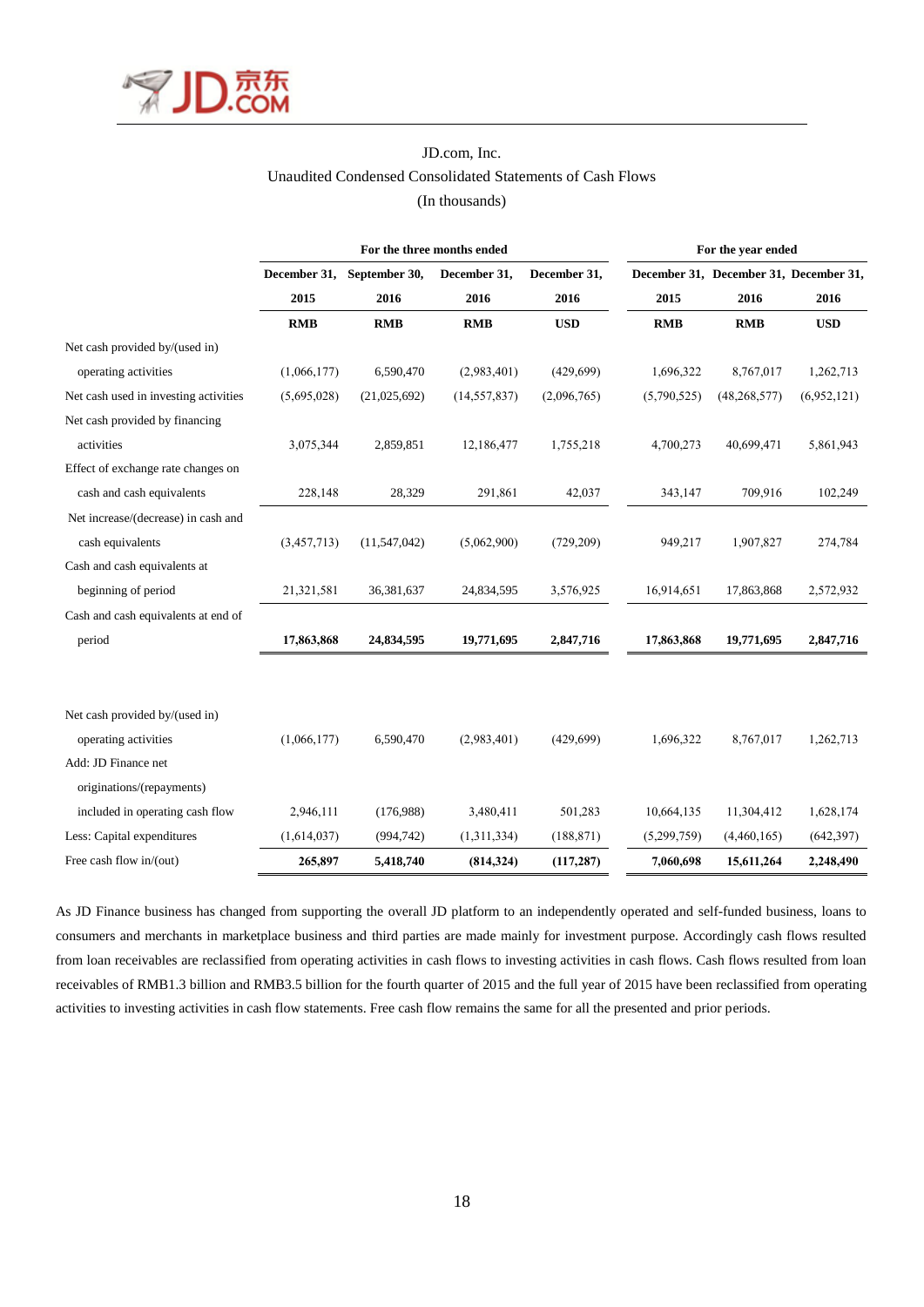

# JD.com, Inc. Unaudited Condensed Consolidated Statements of Cash Flows (In thousands)

|                                       |              |               | For the three months ended | For the year ended |             |                                        |             |
|---------------------------------------|--------------|---------------|----------------------------|--------------------|-------------|----------------------------------------|-------------|
|                                       | December 31, | September 30, | December 31,               | December 31,       |             | December 31, December 31, December 31, |             |
|                                       | 2015         | 2016          | 2016                       | 2016               | 2015        | 2016                                   | 2016        |
|                                       | <b>RMB</b>   | <b>RMB</b>    | <b>RMB</b>                 | <b>USD</b>         | <b>RMB</b>  | <b>RMB</b>                             | <b>USD</b>  |
| Net cash provided by/(used in)        |              |               |                            |                    |             |                                        |             |
| operating activities                  | (1,066,177)  | 6,590,470     | (2,983,401)                | (429, 699)         | 1,696,322   | 8,767,017                              | 1,262,713   |
| Net cash used in investing activities | (5,695,028)  | (21,025,692)  | (14, 557, 837)             | (2,096,765)        | (5,790,525) | (48, 268, 577)                         | (6,952,121) |
| Net cash provided by financing        |              |               |                            |                    |             |                                        |             |
| activities                            | 3,075,344    | 2,859,851     | 12,186,477                 | 1,755,218          | 4,700,273   | 40,699,471                             | 5,861,943   |
| Effect of exchange rate changes on    |              |               |                            |                    |             |                                        |             |
| cash and cash equivalents             | 228,148      | 28,329        | 291,861                    | 42,037             | 343,147     | 709,916                                | 102,249     |
| Net increase/(decrease) in cash and   |              |               |                            |                    |             |                                        |             |
| cash equivalents                      | (3,457,713)  | (11,547,042)  | (5,062,900)                | (729, 209)         | 949,217     | 1,907,827                              | 274,784     |
| Cash and cash equivalents at          |              |               |                            |                    |             |                                        |             |
| beginning of period                   | 21,321,581   | 36,381,637    | 24,834,595                 | 3,576,925          | 16,914,651  | 17,863,868                             | 2,572,932   |
| Cash and cash equivalents at end of   |              |               |                            |                    |             |                                        |             |
| period                                | 17,863,868   | 24,834,595    | 19,771,695                 | 2,847,716          | 17,863,868  | 19,771,695                             | 2,847,716   |
|                                       |              |               |                            |                    |             |                                        |             |
| Net cash provided by/(used in)        |              |               |                            |                    |             |                                        |             |
| operating activities                  | (1,066,177)  | 6,590,470     | (2,983,401)                | (429, 699)         | 1,696,322   | 8,767,017                              | 1,262,713   |
| Add: JD Finance net                   |              |               |                            |                    |             |                                        |             |
| originations/(repayments)             |              |               |                            |                    |             |                                        |             |
| included in operating cash flow       | 2,946,111    | (176,988)     | 3,480,411                  | 501,283            | 10,664,135  | 11,304,412                             | 1,628,174   |
| Less: Capital expenditures            | (1,614,037)  | (994, 742)    | (1,311,334)                | (188, 871)         | (5,299,759) | (4,460,165)                            | (642, 397)  |
| Free cash flow in/(out)               | 265,897      | 5,418,740     | (814, 324)                 | (117, 287)         | 7,060,698   | 15,611,264                             | 2,248,490   |

As JD Finance business has changed from supporting the overall JD platform to an independently operated and self-funded business, loans to consumers and merchants in marketplace business and third parties are made mainly for investment purpose. Accordingly cash flows resulted from loan receivables are reclassified from operating activities in cash flows to investing activities in cash flows. Cash flows resulted from loan receivables of RMB1.3 billion and RMB3.5 billion for the fourth quarter of 2015 and the full year of 2015 have been reclassified from operating activities to investing activities in cash flow statements. Free cash flow remains the same for all the presented and prior periods.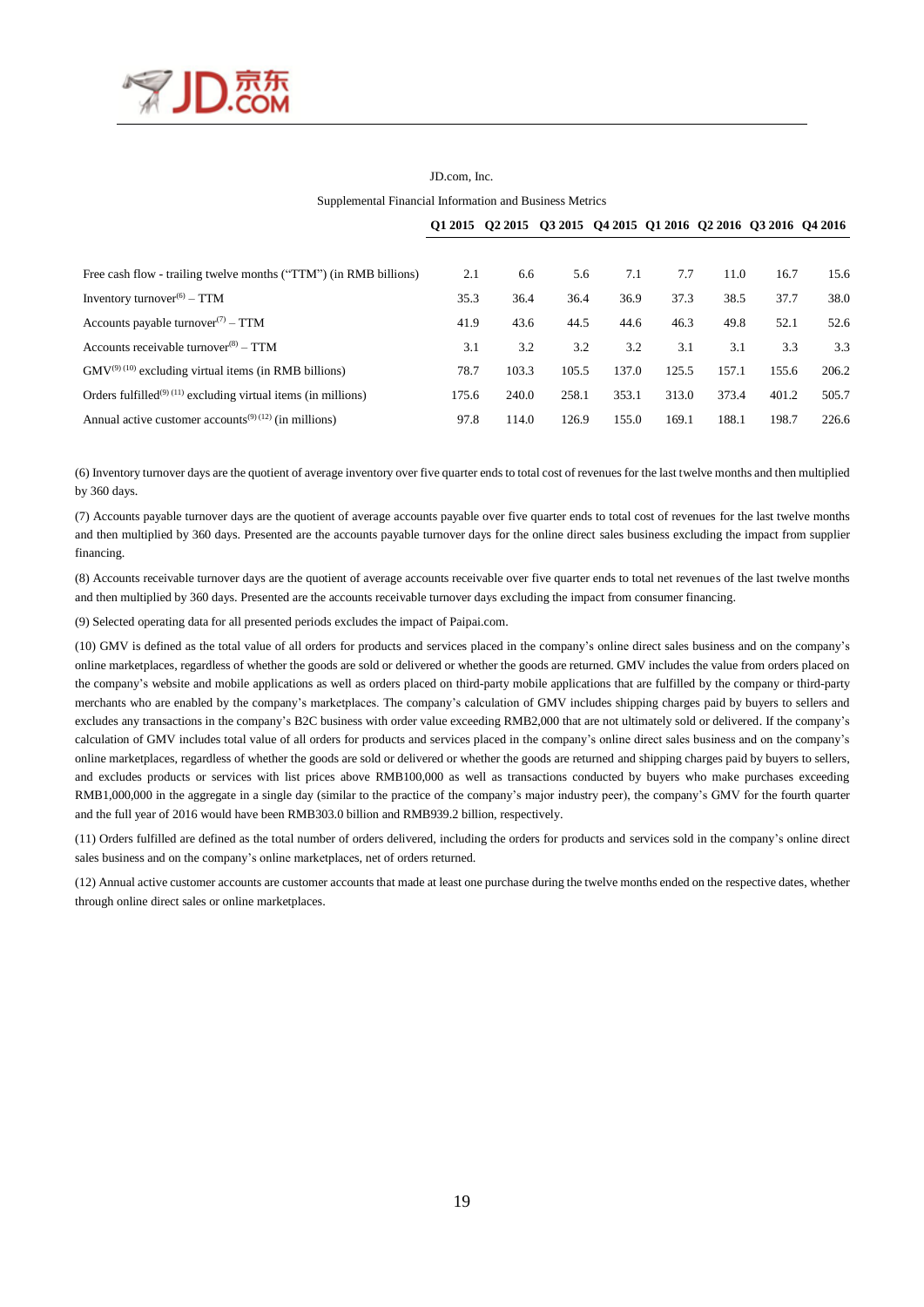

# JD.com, Inc.

Supplemental Financial Information and Business Metrics

|                                                                            |       | Q1 2015 Q2 2015 Q3 2015 Q4 2015 Q1 2016 Q2 2016 Q3 2016 Q4 2016 |       |       |       |       |       |       |
|----------------------------------------------------------------------------|-------|-----------------------------------------------------------------|-------|-------|-------|-------|-------|-------|
|                                                                            |       |                                                                 |       |       |       |       |       |       |
| Free cash flow - trailing twelve months ("TTM") (in RMB billions)          | 2.1   | 6.6                                                             | 5.6   | 7.1   | 7.7   | 11.0  | 16.7  | 15.6  |
| Inventory turnover <sup><math>(6)</math></sup> – TTM                       | 35.3  | 36.4                                                            | 36.4  | 36.9  | 37.3  | 38.5  | 37.7  | 38.0  |
| Accounts payable turnover <sup>(7)</sup> – TTM                             | 41.9  | 43.6                                                            | 44.5  | 44.6  | 46.3  | 49.8  | 52.1  | 52.6  |
| Accounts receivable turnover $^{(8)}$ – TTM                                | 3.1   | 3.2                                                             | 3.2   | 3.2   | 3.1   | 3.1   | 3.3   | 3.3   |
| $GMV^{(9)(10)}$ excluding virtual items (in RMB billions)                  | 78.7  | 103.3                                                           | 105.5 | 137.0 | 125.5 | 157.1 | 155.6 | 206.2 |
| Orders fulfilled <sup>(9) (11)</sup> excluding virtual items (in millions) | 175.6 | 240.0                                                           | 258.1 | 353.1 | 313.0 | 373.4 | 401.2 | 505.7 |
| Annual active customer accounts <sup>(9)(12)</sup> (in millions)           | 97.8  | 114.0                                                           | 126.9 | 155.0 | 169.1 | 188.1 | 198.7 | 226.6 |

(6) Inventory turnover days are the quotient of average inventory over five quarter ends to total cost of revenues for the last twelve months and then multiplied by 360 days.

(7) Accounts payable turnover days are the quotient of average accounts payable over five quarter ends to total cost of revenues for the last twelve months and then multiplied by 360 days. Presented are the accounts payable turnover days for the online direct sales business excluding the impact from supplier financing.

(8) Accounts receivable turnover days are the quotient of average accounts receivable over five quarter ends to total net revenues of the last twelve months and then multiplied by 360 days. Presented are the accounts receivable turnover days excluding the impact from consumer financing.

(9) Selected operating data for all presented periods excludes the impact of Paipai.com.

(10) GMV is defined as the total value of all orders for products and services placed in the company's online direct sales business and on the company's online marketplaces, regardless of whether the goods are sold or delivered or whether the goods are returned. GMV includes the value from orders placed on the company's website and mobile applications as well as orders placed on third-party mobile applications that are fulfilled by the company or third-party merchants who are enabled by the company's marketplaces. The company's calculation of GMV includes shipping charges paid by buyers to sellers and excludes any transactions in the company's B2C business with order value exceeding RMB2,000 that are not ultimately sold or delivered. If the company's calculation of GMV includes total value of all orders for products and services placed in the company's online direct sales business and on the company's online marketplaces, regardless of whether the goods are sold or delivered or whether the goods are returned and shipping charges paid by buyers to sellers, and excludes products or services with list prices above RMB100,000 as well as transactions conducted by buyers who make purchases exceeding RMB1,000,000 in the aggregate in a single day (similar to the practice of the company's major industry peer), the company's GMV for the fourth quarter and the full year of 2016 would have been RMB303.0 billion and RMB939.2 billion, respectively.

(11) Orders fulfilled are defined as the total number of orders delivered, including the orders for products and services sold in the company's online direct sales business and on the company's online marketplaces, net of orders returned.

(12) Annual active customer accounts are customer accounts that made at least one purchase during the twelve months ended on the respective dates, whether through online direct sales or online marketplaces.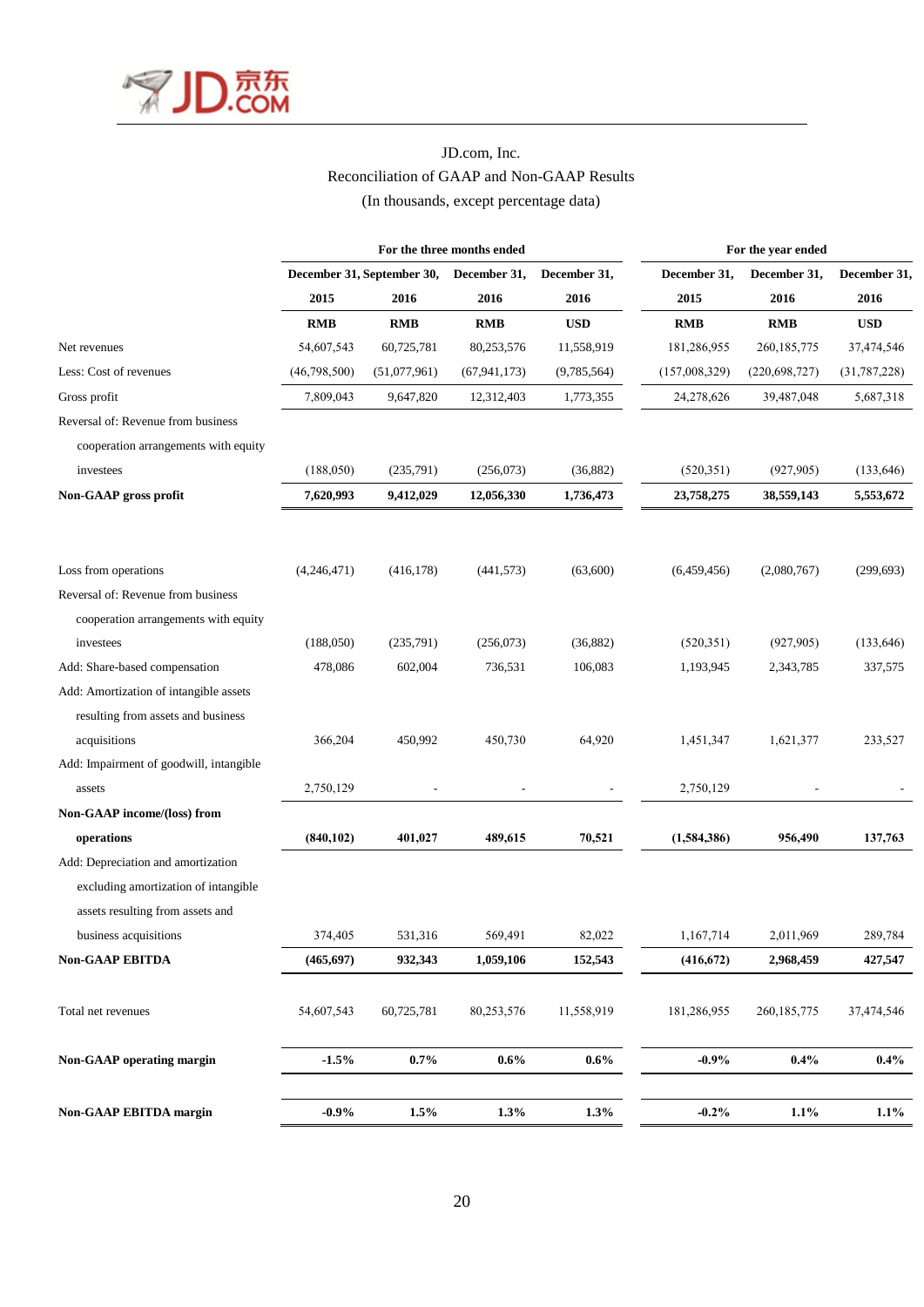

# JD.com, Inc. Reconciliation of GAAP and Non-GAAP Results (In thousands, except percentage data)

|                                         | For the three months ended |              |                |              | For the year ended |                 |                |  |
|-----------------------------------------|----------------------------|--------------|----------------|--------------|--------------------|-----------------|----------------|--|
|                                         | December 31, September 30, |              | December 31,   | December 31, | December 31,       | December 31,    | December 31,   |  |
|                                         | 2015                       | 2016         | 2016           | 2016         | 2015               | 2016            | 2016           |  |
|                                         | <b>RMB</b>                 | <b>RMB</b>   | <b>RMB</b>     | <b>USD</b>   | <b>RMB</b>         | <b>RMB</b>      | <b>USD</b>     |  |
| Net revenues                            | 54,607,543                 | 60,725,781   | 80,253,576     | 11,558,919   | 181,286,955        | 260, 185, 775   | 37,474,546     |  |
| Less: Cost of revenues                  | (46,798,500)               | (51,077,961) | (67, 941, 173) | (9,785,564)  | (157,008,329)      | (220, 698, 727) | (31, 787, 228) |  |
| Gross profit                            | 7,809,043                  | 9,647,820    | 12,312,403     | 1,773,355    | 24,278,626         | 39,487,048      | 5,687,318      |  |
| Reversal of: Revenue from business      |                            |              |                |              |                    |                 |                |  |
| cooperation arrangements with equity    |                            |              |                |              |                    |                 |                |  |
| investees                               | (188,050)                  | (235,791)    | (256,073)      | (36,882)     | (520, 351)         | (927, 905)      | (133, 646)     |  |
| Non-GAAP gross profit                   | 7,620,993                  | 9,412,029    | 12,056,330     | 1,736,473    | 23,758,275         | 38,559,143      | 5,553,672      |  |
| Loss from operations                    | (4,246,471)                | (416, 178)   | (441, 573)     | (63,600)     | (6,459,456)        | (2,080,767)     | (299, 693)     |  |
| Reversal of: Revenue from business      |                            |              |                |              |                    |                 |                |  |
| cooperation arrangements with equity    |                            |              |                |              |                    |                 |                |  |
| investees                               | (188,050)                  | (235,791)    | (256,073)      | (36,882)     | (520, 351)         | (927, 905)      | (133, 646)     |  |
| Add: Share-based compensation           | 478,086                    | 602,004      | 736,531        | 106,083      | 1,193,945          | 2,343,785       | 337,575        |  |
| Add: Amortization of intangible assets  |                            |              |                |              |                    |                 |                |  |
| resulting from assets and business      |                            |              |                |              |                    |                 |                |  |
| acquisitions                            | 366,204                    | 450,992      | 450,730        | 64,920       | 1,451,347          | 1,621,377       | 233,527        |  |
| Add: Impairment of goodwill, intangible |                            |              |                |              |                    |                 |                |  |
| assets                                  | 2,750,129                  |              |                |              | 2,750,129          |                 |                |  |
| Non-GAAP income/(loss) from             |                            |              |                |              |                    |                 |                |  |
| operations                              | (840, 102)                 | 401,027      | 489,615        | 70,521       | (1,584,386)        | 956,490         | 137,763        |  |
| Add: Depreciation and amortization      |                            |              |                |              |                    |                 |                |  |
| excluding amortization of intangible    |                            |              |                |              |                    |                 |                |  |
| assets resulting from assets and        |                            |              |                |              |                    |                 |                |  |
| business acquisitions                   | 374,405                    | 531,316      | 569,491        | 82,022       | 1,167,714          | 2,011,969       | 289,784        |  |
| <b>Non-GAAP EBITDA</b>                  | (465, 697)                 | 932,343      | 1,059,106      | 152,543      | (416, 672)         | 2,968,459       | 427,547        |  |
| Total net revenues                      | 54,607,543                 | 60,725,781   | 80,253,576     | 11,558,919   | 181,286,955        | 260, 185, 775   | 37,474,546     |  |
| Non-GAAP operating margin               | $-1.5%$                    | $0.7\%$      | $0.6\%$        | $0.6\%$      | $-0.9%$            | $0.4\%$         | $0.4\%$        |  |
| <b>Non-GAAP EBITDA margin</b>           | $-0.9\%$                   | 1.5%         | 1.3%           | 1.3%         | $-0.2\%$           | 1.1%            | $1.1\%$        |  |
|                                         |                            |              |                |              |                    |                 |                |  |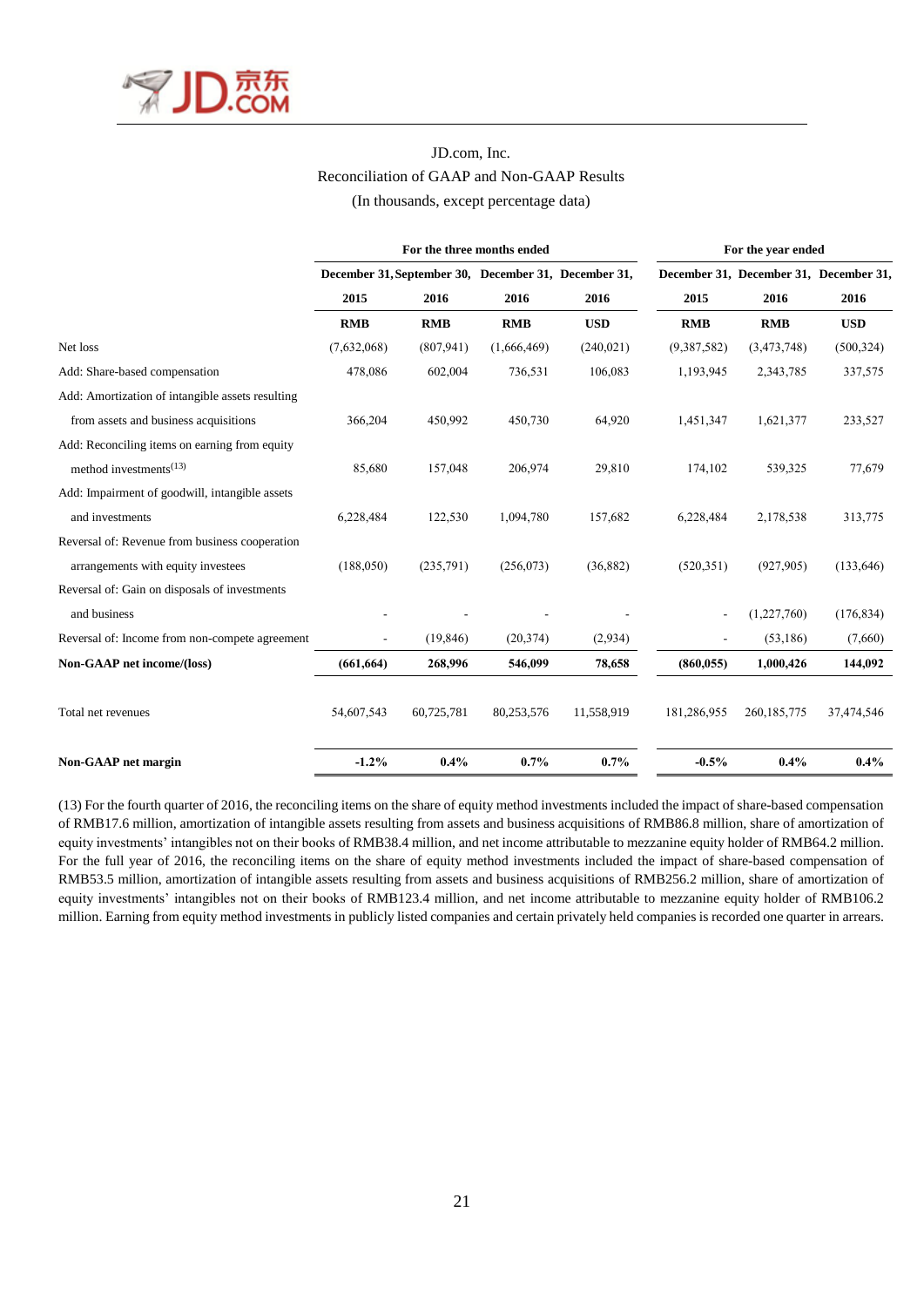

# JD.com, Inc. Reconciliation of GAAP and Non-GAAP Results (In thousands, except percentage data)

|                                                  | For the three months ended                           |            |             |            | For the year ended |                                        |            |  |
|--------------------------------------------------|------------------------------------------------------|------------|-------------|------------|--------------------|----------------------------------------|------------|--|
|                                                  | December 31, September 30, December 31, December 31, |            |             |            |                    | December 31, December 31, December 31, |            |  |
|                                                  | 2015                                                 | 2016       | 2016        | 2016       | 2015               | 2016                                   | 2016       |  |
|                                                  | <b>RMB</b>                                           | <b>RMB</b> | <b>RMB</b>  | <b>USD</b> | <b>RMB</b>         | <b>RMB</b>                             | <b>USD</b> |  |
| Net loss                                         | (7,632,068)                                          | (807, 941) | (1,666,469) | (240, 021) | (9,387,582)        | (3,473,748)                            | (500, 324) |  |
| Add: Share-based compensation                    | 478,086                                              | 602,004    | 736,531     | 106,083    | 1,193,945          | 2,343,785                              | 337,575    |  |
| Add: Amortization of intangible assets resulting |                                                      |            |             |            |                    |                                        |            |  |
| from assets and business acquisitions            | 366,204                                              | 450,992    | 450,730     | 64,920     | 1,451,347          | 1,621,377                              | 233,527    |  |
| Add: Reconciling items on earning from equity    |                                                      |            |             |            |                    |                                        |            |  |
| method investments <sup><math>(13)</math></sup>  | 85,680                                               | 157,048    | 206,974     | 29,810     | 174,102            | 539,325                                | 77,679     |  |
| Add: Impairment of goodwill, intangible assets   |                                                      |            |             |            |                    |                                        |            |  |
| and investments                                  | 6,228,484                                            | 122,530    | 1,094,780   | 157,682    | 6,228,484          | 2,178,538                              | 313,775    |  |
| Reversal of: Revenue from business cooperation   |                                                      |            |             |            |                    |                                        |            |  |
| arrangements with equity investees               | (188, 050)                                           | (235,791)  | (256,073)   | (36,882)   | (520, 351)         | (927, 905)                             | (133, 646) |  |
| Reversal of: Gain on disposals of investments    |                                                      |            |             |            |                    |                                        |            |  |
| and business                                     |                                                      |            |             |            |                    | (1,227,760)                            | (176, 834) |  |
| Reversal of: Income from non-compete agreement   |                                                      | (19, 846)  | (20, 374)   | (2,934)    |                    | (53,186)                               | (7,660)    |  |
| Non-GAAP net income/(loss)                       | (661, 664)                                           | 268,996    | 546,099     | 78,658     | (860, 055)         | 1,000,426                              | 144,092    |  |
|                                                  |                                                      |            |             |            |                    |                                        |            |  |
| Total net revenues                               | 54,607,543                                           | 60,725,781 | 80,253,576  | 11,558,919 | 181,286,955        | 260, 185, 775                          | 37,474,546 |  |
| Non-GAAP net margin                              | $-1.2%$                                              | $0.4\%$    | 0.7%        | 0.7%       | $-0.5%$            | 0.4%                                   | $0.4\%$    |  |

(13) For the fourth quarter of 2016, the reconciling items on the share of equity method investments included the impact of share-based compensation of RMB17.6 million, amortization of intangible assets resulting from assets and business acquisitions of RMB86.8 million, share of amortization of equity investments' intangibles not on their books of RMB38.4 million, and net income attributable to mezzanine equity holder of RMB64.2 million. For the full year of 2016, the reconciling items on the share of equity method investments included the impact of share-based compensation of RMB53.5 million, amortization of intangible assets resulting from assets and business acquisitions of RMB256.2 million, share of amortization of equity investments' intangibles not on their books of RMB123.4 million, and net income attributable to mezzanine equity holder of RMB106.2 million. Earning from equity method investments in publicly listed companies and certain privately held companies is recorded one quarter in arrears.